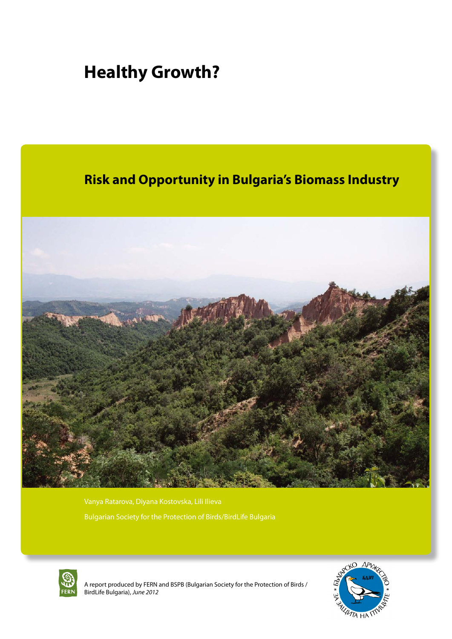# **Healthy Growth?**

### **Risk and Opportunity in Bulgaria's Biomass Industry**



Bulgarian Society for the Protection of Birds/BirdLife Bulgaria



A report produced by FERN and BSPB (Bulgarian Society for the Protection of Birds / BirdLife Bulgaria), *June 2012*

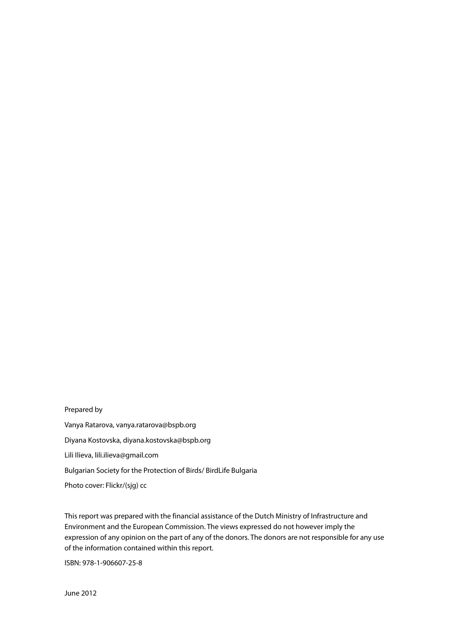### Prepared by Vanya Ratarova, vanya.ratarova@bspb.org Diyana Kostovska, diyana.kostovska@bspb.org Lili Ilieva, lili.ilieva@gmail.com Bulgarian Society for the Protection of Birds/ BirdLife Bulgaria Photo cover: Flickr/(sjg) cc

This report was prepared with the financial assistance of the Dutch Ministry of Infrastructure and Environment and the European Commission. The views expressed do not however imply the expression of any opinion on the part of any of the donors. The donors are not responsible for any use of the information contained within this report.

ISBN: 978-1-906607-25-8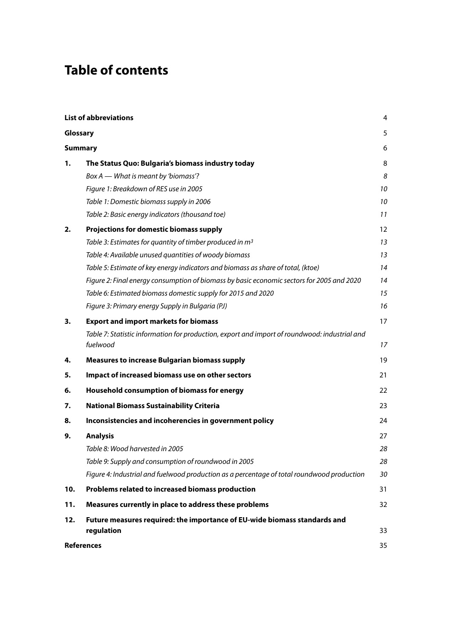## **Table of contents**

|          | <b>List of abbreviations</b>                                                                              | 4  |
|----------|-----------------------------------------------------------------------------------------------------------|----|
| Glossary |                                                                                                           | 5  |
|          | <b>Summary</b>                                                                                            | 6  |
| 1.       | The Status Quo: Bulgaria's biomass industry today                                                         | 8  |
|          | Box A - What is meant by 'biomass'?                                                                       | 8  |
|          | Figure 1: Breakdown of RES use in 2005                                                                    | 10 |
|          | Table 1: Domestic biomass supply in 2006                                                                  | 10 |
|          | Table 2: Basic energy indicators (thousand toe)                                                           | 11 |
| 2.       | Projections for domestic biomass supply                                                                   | 12 |
|          | Table 3: Estimates for quantity of timber produced in $m3$                                                | 13 |
|          | Table 4: Available unused quantities of woody biomass                                                     | 13 |
|          | Table 5: Estimate of key energy indicators and biomass as share of total, (ktoe)                          | 14 |
|          | Figure 2: Final energy consumption of biomass by basic economic sectors for 2005 and 2020                 | 14 |
|          | Table 6: Estimated biomass domestic supply for 2015 and 2020                                              | 15 |
|          | Figure 3: Primary energy Supply in Bulgaria (PJ)                                                          | 16 |
| з.       | <b>Export and import markets for biomass</b>                                                              | 17 |
|          | Table 7: Statistic information for production, export and import of roundwood: industrial and<br>fuelwood | 17 |
| 4.       | <b>Measures to increase Bulgarian biomass supply</b>                                                      | 19 |
| 5.       | Impact of increased biomass use on other sectors                                                          | 21 |
| 6.       | Household consumption of biomass for energy                                                               | 22 |
| 7.       | <b>National Biomass Sustainability Criteria</b>                                                           | 23 |
| 8.       | Inconsistencies and incoherencies in government policy                                                    | 24 |
| 9.       | <b>Analysis</b>                                                                                           | 27 |
|          | Table 8: Wood harvested in 2005                                                                           | 28 |
|          | Table 9: Supply and consumption of roundwood in 2005                                                      | 28 |
|          | Figure 4: Industrial and fuelwood production as a percentage of total roundwood production                | 30 |
| 10.      | Problems related to increased biomass production                                                          | 31 |
| 11.      | Measures currently in place to address these problems                                                     | 32 |
| 12.      | Future measures required: the importance of EU-wide biomass standards and                                 |    |
|          | regulation                                                                                                | 33 |
|          | <b>References</b>                                                                                         | 35 |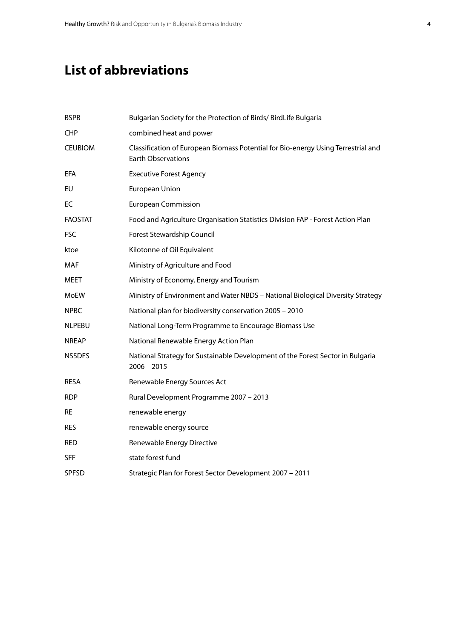## <span id="page-3-0"></span>**List of abbreviations**

| <b>BSPB</b>    | Bulgarian Society for the Protection of Birds/ BirdLife Bulgaria                                               |
|----------------|----------------------------------------------------------------------------------------------------------------|
| <b>CHP</b>     | combined heat and power                                                                                        |
| <b>CEUBIOM</b> | Classification of European Biomass Potential for Bio-energy Using Terrestrial and<br><b>Earth Observations</b> |
| EFA            | <b>Executive Forest Agency</b>                                                                                 |
| EU             | European Union                                                                                                 |
| EC             | <b>European Commission</b>                                                                                     |
| <b>FAOSTAT</b> | Food and Agriculture Organisation Statistics Division FAP - Forest Action Plan                                 |
| <b>FSC</b>     | Forest Stewardship Council                                                                                     |
| ktoe           | Kilotonne of Oil Equivalent                                                                                    |
| MAF            | Ministry of Agriculture and Food                                                                               |
| <b>MEET</b>    | Ministry of Economy, Energy and Tourism                                                                        |
| MoEW           | Ministry of Environment and Water NBDS - National Biological Diversity Strategy                                |
| <b>NPBC</b>    | National plan for biodiversity conservation 2005 - 2010                                                        |
| <b>NLPEBU</b>  | National Long-Term Programme to Encourage Biomass Use                                                          |
| <b>NREAP</b>   | National Renewable Energy Action Plan                                                                          |
| <b>NSSDFS</b>  | National Strategy for Sustainable Development of the Forest Sector in Bulgaria<br>$2006 - 2015$                |
| <b>RESA</b>    | Renewable Energy Sources Act                                                                                   |
| <b>RDP</b>     | Rural Development Programme 2007 - 2013                                                                        |
| RE             | renewable energy                                                                                               |
| <b>RES</b>     | renewable energy source                                                                                        |
| <b>RED</b>     | Renewable Energy Directive                                                                                     |
| <b>SFF</b>     | state forest fund                                                                                              |
| <b>SPFSD</b>   | Strategic Plan for Forest Sector Development 2007 - 2011                                                       |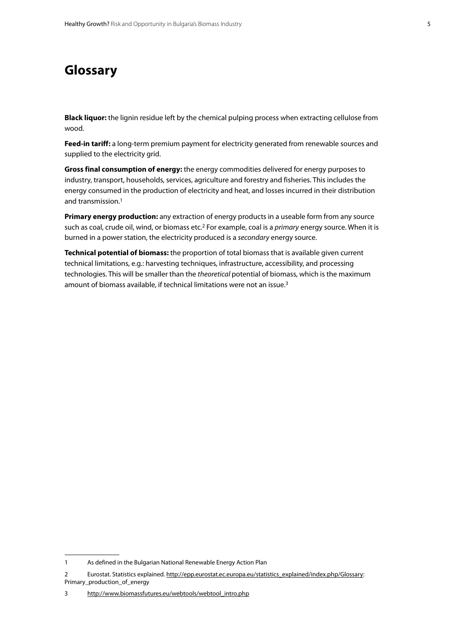### <span id="page-4-0"></span>**Glossary**

**Black liquor:** the lignin residue left by the chemical pulping process when extracting cellulose from wood.

**Feed-in tariff:** a long-term premium payment for electricity generated from renewable sources and supplied to the electricity grid.

**Gross final consumption of energy:** the energy commodities delivered for energy purposes to industry, transport, households, services, agriculture and forestry and fisheries. This includes the energy consumed in the production of electricity and heat, and losses incurred in their distribution and transmission.1

**Primary energy production:** any extraction of energy products in a useable form from any source such as coal, crude oil, wind, or biomass etc.2 For example, coal is a *primary* energy source. When it is burned in a power station, the electricity produced is a *secondary* energy source.

**Technical potential of biomass:** the proportion of total biomass that is available given current technical limitations, e.g.: harvesting techniques, infrastructure, accessibility, and processing technologies. This will be smaller than the *theoretical* potential of biomass, which is the maximum amount of biomass available, if technical limitations were not an issue.3

<sup>1</sup> As defined in the Bulgarian National Renewable Energy Action Plan

<sup>2</sup> Eurostat. Statistics explained. [http://epp.eurostat.ec.europa.eu/statistics\\_explained/index.php/Glossary:](http://epp.eurostat.ec.europa.eu/statistics_explained/index.php/Glossary) Primary production of energy

<sup>3</sup> [http://www.biomassfutures.eu/webtools/webtool\\_intro.php](http://www.biomassfutures.eu/webtools/webtool_intro.php)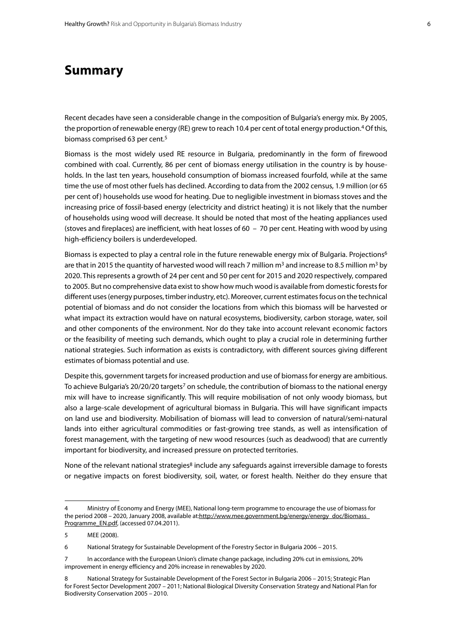### <span id="page-5-0"></span>**Summary**

Recent decades have seen a considerable change in the composition of Bulgaria's energy mix. By 2005, the proportion of renewable energy (RE) grew to reach 10.4 per cent of total energy production.4 Of this, biomass comprised 63 per cent.<sup>5</sup>

Biomass is the most widely used RE resource in Bulgaria, predominantly in the form of firewood combined with coal. Currently, 86 per cent of biomass energy utilisation in the country is by households. In the last ten years, household consumption of biomass increased fourfold, while at the same time the use of most other fuels has declined. According to data from the 2002 census, 1.9 million (or 65 per cent of) households use wood for heating. Due to negligible investment in biomass stoves and the increasing price of fossil-based energy (electricity and district heating) it is not likely that the number of households using wood will decrease. It should be noted that most of the heating appliances used (stoves and fireplaces) are inefficient, with heat losses of 60 – 70 per cent. Heating with wood by using high-efficiency boilers is underdeveloped.

Biomass is expected to play a central role in the future renewable energy mix of Bulgaria. Projections<sup>6</sup> are that in 2015 the quantity of harvested wood will reach 7 million  $m^3$  and increase to 8.5 million  $m^3$  by 2020. This represents a growth of 24 per cent and 50 per cent for 2015 and 2020 respectively, compared to 2005. But no comprehensive data exist to show how much wood is available from domestic forests for different uses (energy purposes, timber industry, etc). Moreover, current estimates focus on the technical potential of biomass and do not consider the locations from which this biomass will be harvested or what impact its extraction would have on natural ecosystems, biodiversity, carbon storage, water, soil and other components of the environment. Nor do they take into account relevant economic factors or the feasibility of meeting such demands, which ought to play a crucial role in determining further national strategies. Such information as exists is contradictory, with different sources giving different estimates of biomass potential and use.

Despite this, government targets for increased production and use of biomass for energy are ambitious. To achieve Bulgaria's 20/20/20 targets<sup>7</sup> on schedule, the contribution of biomass to the national energy mix will have to increase significantly. This will require mobilisation of not only woody biomass, but also a large-scale development of agricultural biomass in Bulgaria. This will have significant impacts on land use and biodiversity. Mobilisation of biomass will lead to conversion of natural/semi-natural lands into either agricultural commodities or fast-growing tree stands, as well as intensification of forest management, with the targeting of new wood resources (such as deadwood) that are currently important for biodiversity, and increased pressure on protected territories.

None of the relevant national strategies<sup>8</sup> include any safeguards against irreversible damage to forests or negative impacts on forest biodiversity, soil, water, or forest health. Neither do they ensure that

<sup>4</sup> Ministry of Economy and Energy (MEE), National long-term programme to encourage the use of biomass for the period 2008 – 2020, January 2008, available at[:http://www.mee.government.bg/energy/energy\\_doc/Biomass\\_](http://www.mee.government.bg/energy/energy_doc/Biomass_Programme_EN.pdf) [Programme\\_EN.pdf](http://www.mee.government.bg/energy/energy_doc/Biomass_Programme_EN.pdf), (accessed 07.04.2011).

<sup>5</sup> MEE (2008).

<sup>6</sup> National Strategy for Sustainable Development of the Forestry Sector in Bulgaria 2006 – 2015.

In accordance with the European Union's climate change package, including 20% cut in emissions, 20% improvement in energy efficiency and 20% increase in renewables by 2020.

<sup>8</sup> National Strategy for Sustainable Development of the Forest Sector in Bulgaria 2006 – 2015; Strategic Plan for Forest Sector Development 2007 – 2011; National Biological Diversity Conservation Strategy and National Plan for Biodiversity Conservation 2005 – 2010.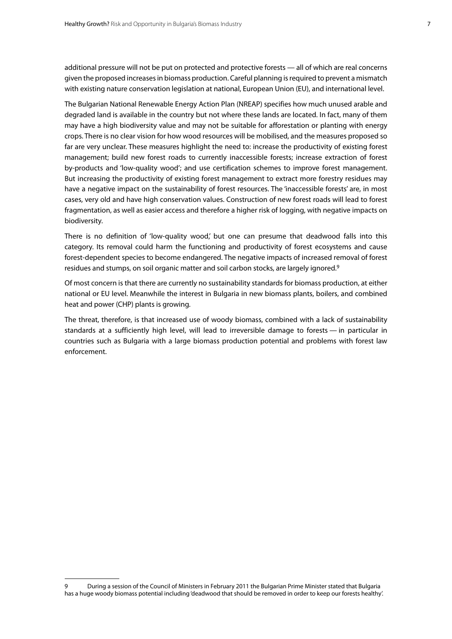additional pressure will not be put on protected and protective forests — all of which are real concerns given the proposed increases in biomass production. Careful planning is required to prevent a mismatch with existing nature conservation legislation at national, European Union (EU), and international level.

The Bulgarian National Renewable Energy Action Plan (NREAP) specifies how much unused arable and degraded land is available in the country but not where these lands are located. In fact, many of them may have a high biodiversity value and may not be suitable for afforestation or planting with energy crops. There is no clear vision for how wood resources will be mobilised, and the measures proposed so far are very unclear. These measures highlight the need to: increase the productivity of existing forest management; build new forest roads to currently inaccessible forests; increase extraction of forest by-products and 'low-quality wood'; and use certification schemes to improve forest management. But increasing the productivity of existing forest management to extract more forestry residues may have a negative impact on the sustainability of forest resources. The 'inaccessible forests' are, in most cases, very old and have high conservation values. Construction of new forest roads will lead to forest fragmentation, as well as easier access and therefore a higher risk of logging, with negative impacts on biodiversity.

There is no definition of 'low-quality wood,' but one can presume that deadwood falls into this category. Its removal could harm the functioning and productivity of forest ecosystems and cause forest-dependent species to become endangered. The negative impacts of increased removal of forest residues and stumps, on soil organic matter and soil carbon stocks, are largely ignored.9

Of most concern is that there are currently no sustainability standards for biomass production, at either national or EU level. Meanwhile the interest in Bulgaria in new biomass plants, boilers, and combined heat and power (CHP) plants is growing.

The threat, therefore, is that increased use of woody biomass, combined with a lack of sustainability standards at a sufficiently high level, will lead to irreversible damage to forests — in particular in countries such as Bulgaria with a large biomass production potential and problems with forest law enforcement.

<sup>9</sup> During a session of the Council of Ministers in February 2011 the Bulgarian Prime Minister stated that Bulgaria has a huge woody biomass potential including 'deadwood that should be removed in order to keep our forests healthy'.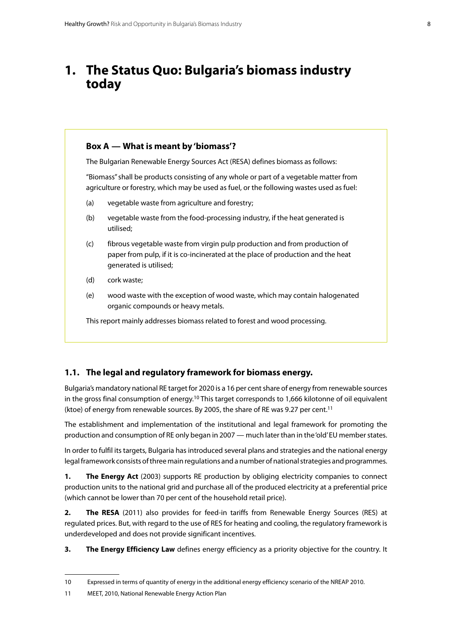### <span id="page-7-0"></span>**1. The Status Quo: Bulgaria's biomass industry today**

#### **Box A — What is meant by 'biomass'?**

The Bulgarian Renewable Energy Sources Act (RESA) defines biomass as follows:

"Biomass" shall be products consisting of any whole or part of a vegetable matter from agriculture or forestry, which may be used as fuel, or the following wastes used as fuel:

- (a) vegetable waste from agriculture and forestry;
- (b) vegetable waste from the food-processing industry, if the heat generated is utilised;
- (c) fibrous vegetable waste from virgin pulp production and from production of paper from pulp, if it is co-incinerated at the place of production and the heat generated is utilised;
- (d) cork waste;
- (e) wood waste with the exception of wood waste, which may contain halogenated organic compounds or heavy metals.

This report mainly addresses biomass related to forest and wood processing.

#### **1.1. The legal and regulatory framework for biomass energy.**

Bulgaria's mandatory national RE target for 2020 is a 16 per cent share of energy from renewable sources in the gross final consumption of energy.<sup>10</sup> This target corresponds to 1,666 kilotonne of oil equivalent (ktoe) of energy from renewable sources. By 2005, the share of RE was 9.27 per cent.11

The establishment and implementation of the institutional and legal framework for promoting the production and consumption of RE only began in 2007 — much later than in the 'old' EU member states.

In order to fulfil its targets, Bulgaria has introduced several plans and strategies and the national energy legal framework consists of three main regulations and a number of national strategies and programmes.

**1.** The Energy Act (2003) supports RE production by obliging electricity companies to connect production units to the national grid and purchase all of the produced electricity at a preferential price (which cannot be lower than 70 per cent of the household retail price).

**2.** The RESA (2011) also provides for feed-in tariffs from Renewable Energy Sources (RES) at regulated prices. But, with regard to the use of RES for heating and cooling, the regulatory framework is underdeveloped and does not provide significant incentives.

**3. The Energy Efficiency Law** defines energy efficiency as a priority objective for the country. It

<sup>10</sup> Expressed in terms of quantity of energy in the additional energy efficiency scenario of the NREAP 2010.

<sup>11</sup> MEET, 2010, National Renewable Energy Action Plan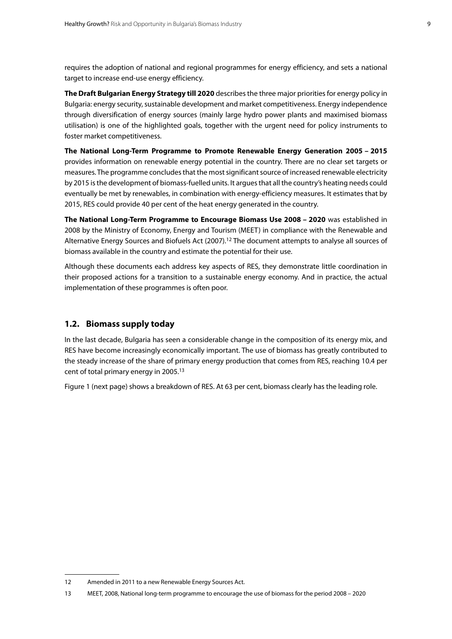requires the adoption of national and regional programmes for energy efficiency, and sets a national target to increase end-use energy efficiency.

**The Draft Bulgarian Energy Strategy till 2020** describes the three major priorities for energy policy in Bulgaria: energy security, sustainable development and market competitiveness. Energy independence through diversification of energy sources (mainly large hydro power plants and maximised biomass utilisation) is one of the highlighted goals, together with the urgent need for policy instruments to foster market competitiveness.

**The National Long-Term Programme to Promote Renewable Energy Generation 2005 – 2015** provides information on renewable energy potential in the country. There are no clear set targets or measures. The programme concludes that the most significant source of increased renewable electricity by 2015 is the development of biomass-fuelled units. It argues that all the country's heating needs could eventually be met by renewables, in combination with energy-efficiency measures. It estimates that by 2015, RES could provide 40 per cent of the heat energy generated in the country.

**The National Long-Term Programme to Encourage Biomass Use 2008 – 2020** was established in 2008 by the Ministry of Economy, Energy and Tourism (MEET) in compliance with the Renewable and Alternative Energy Sources and Biofuels Act (2007).12 The document attempts to analyse all sources of biomass available in the country and estimate the potential for their use.

Although these documents each address key aspects of RES, they demonstrate little coordination in their proposed actions for a transition to a sustainable energy economy. And in practice, the actual implementation of these programmes is often poor.

#### **1.2. Biomass supply today**

In the last decade, Bulgaria has seen a considerable change in the composition of its energy mix, and RES have become increasingly economically important. The use of biomass has greatly contributed to the steady increase of the share of primary energy production that comes from RES, reaching 10.4 per cent of total primary energy in 2005.13

Figure 1 (next page) shows a breakdown of RES. At 63 per cent, biomass clearly has the leading role.

<sup>12</sup> Amended in 2011 to a new Renewable Energy Sources Act.

<sup>13</sup> MEET, 2008, National long-term programme to encourage the use of biomass for the period 2008 – 2020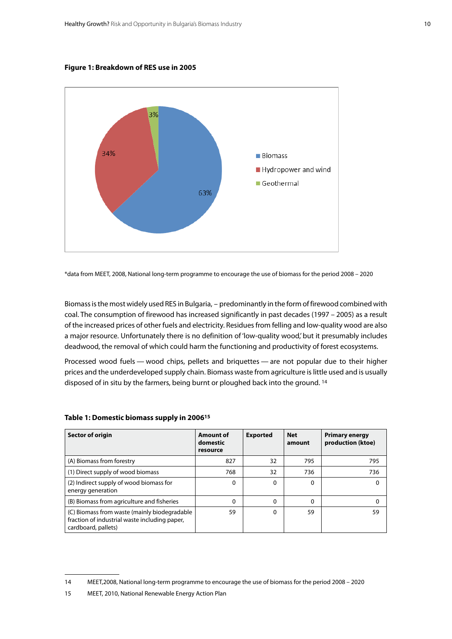<span id="page-9-0"></span>**Figure 1: Breakdown of RES use in 2005** 



\*data from MEET, 2008, National long-term programme to encourage the use of biomass for the period 2008 – 2020

Biomass is the most widely used RES in Bulgaria, – predominantly in the form of firewood combined with coal. The consumption of firewood has increased significantly in past decades (1997 – 2005) as a result of the increased prices of other fuels and electricity. Residues from felling and low-quality wood are also a major resource. Unfortunately there is no definition of 'low-quality wood,' but it presumably includes deadwood, the removal of which could harm the functioning and productivity of forest ecosystems.

Processed wood fuels — wood chips, pellets and briquettes — are not popular due to their higher prices and the underdeveloped supply chain. Biomass waste from agriculture is little used and is usually disposed of in situ by the farmers, being burnt or ploughed back into the ground. 14

| <b>Sector of origin</b>                                                                                              | Amount of<br>domestic<br>resource | <b>Exported</b> | <b>Net</b><br>amount | <b>Primary energy</b><br>production (ktoe) |
|----------------------------------------------------------------------------------------------------------------------|-----------------------------------|-----------------|----------------------|--------------------------------------------|
| (A) Biomass from forestry                                                                                            | 827                               | 32              | 795                  | 795                                        |
| (1) Direct supply of wood biomass                                                                                    | 768                               | 32              | 736                  | 736                                        |
| (2) Indirect supply of wood biomass for<br>energy generation                                                         | 0                                 | 0               | 0                    | 0                                          |
| (B) Biomass from agriculture and fisheries                                                                           | 0                                 | $\Omega$        | 0                    | 0                                          |
| (C) Biomass from waste (mainly biodegradable<br>fraction of industrial waste including paper,<br>cardboard, pallets) | 59                                | $\Omega$        | 59                   | 59                                         |

#### **Table 1: Domestic biomass supply in 200615**

<sup>14</sup> MEET,2008, National long-term programme to encourage the use of biomass for the period 2008 – 2020

<sup>15</sup> MEET, 2010, National Renewable Energy Action Plan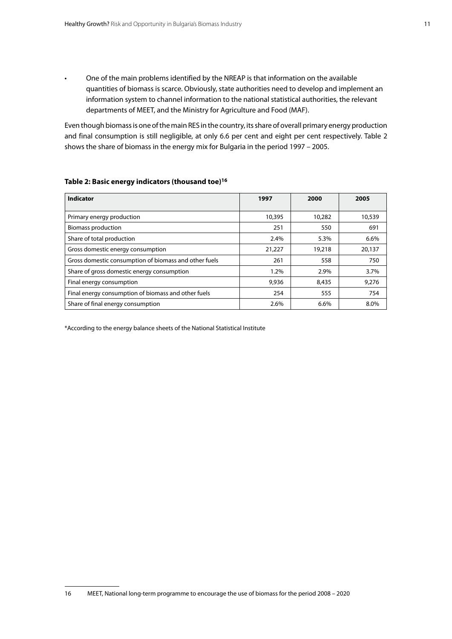<span id="page-10-0"></span>One of the main problems identified by the NREAP is that information on the available quantities of biomass is scarce. Obviously, state authorities need to develop and implement an information system to channel information to the national statistical authorities, the relevant departments of MEET, and the Ministry for Agriculture and Food (MAF).

Even though biomass is one of the main RES in the country, its share of overall primary energy production and final consumption is still negligible, at only 6.6 per cent and eight per cent respectively. Table 2 shows the share of biomass in the energy mix for Bulgaria in the period 1997 – 2005.

| <b>Indicator</b>                                      | 1997    | 2000   | 2005   |
|-------------------------------------------------------|---------|--------|--------|
| Primary energy production                             | 10,395  | 10,282 | 10,539 |
| <b>Biomass production</b>                             | 251     | 550    | 691    |
| Share of total production                             | 2.4%    | 5.3%   | 6.6%   |
| Gross domestic energy consumption                     | 21,227  | 19,218 | 20,137 |
| Gross domestic consumption of biomass and other fuels | 261     | 558    | 750    |
| Share of gross domestic energy consumption            | $1.2\%$ | 2.9%   | 3.7%   |
| Final energy consumption                              | 9,936   | 8,435  | 9,276  |
| Final energy consumption of biomass and other fuels   | 254     | 555    | 754    |
| Share of final energy consumption                     | 2.6%    | 6.6%   | 8.0%   |

#### **Table 2: Basic energy indicators (thousand toe)16**

\*According to the energy balance sheets of the National Statistical Institute

<sup>16</sup> MEET, National long-term programme to encourage the use of biomass for the period 2008 – 2020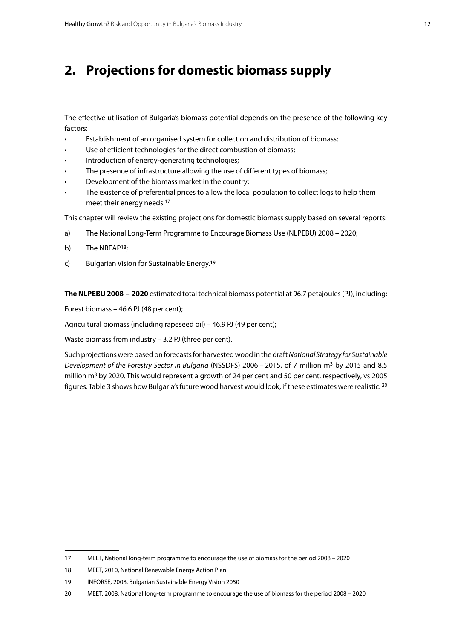### <span id="page-11-0"></span>**2. Projections for domestic biomass supply**

The effective utilisation of Bulgaria's biomass potential depends on the presence of the following key factors:

- Establishment of an organised system for collection and distribution of biomass;
- Use of efficient technologies for the direct combustion of biomass;
- Introduction of energy-generating technologies;
- The presence of infrastructure allowing the use of different types of biomass;
- Development of the biomass market in the country;
- The existence of preferential prices to allow the local population to collect logs to help them meet their energy needs.<sup>17</sup>

This chapter will review the existing projections for domestic biomass supply based on several reports:

- a) The National Long-Term Programme to Encourage Biomass Use (NLPEBU) 2008 2020;
- b) The NREAP<sup>18</sup>;
- c) Bulgarian Vision for Sustainable Energy.19

**The NLPEBU 2008 – 2020** estimated total technical biomass potential at 96.7 petajoules (PJ), including:

Forest biomass – 46.6 PJ (48 per cent);

Agricultural biomass (including rapeseed oil) – 46.9 PJ (49 per cent);

Waste biomass from industry – 3.2 PJ (three per cent).

Such projections were based on forecasts for harvested wood in the draft *National Strategy for Sustainable Development of the Forestry Sector in Bulgaria* (NSSDFS) 2006 – 2015, of 7 million m3 by 2015 and 8.5 million  $m^3$  by 2020. This would represent a growth of 24 per cent and 50 per cent, respectively, vs 2005 figures. Table 3 shows how Bulgaria's future wood harvest would look, if these estimates were realistic. 20

<sup>17</sup> MEET, National long-term programme to encourage the use of biomass for the period 2008 – 2020

<sup>18</sup> MEET, 2010, National Renewable Energy Action Plan

<sup>19</sup> INFORSE, 2008, Bulgarian Sustainable Energy Vision 2050

<sup>20</sup> MEET, 2008, National long-term programme to encourage the use of biomass for the period 2008 – 2020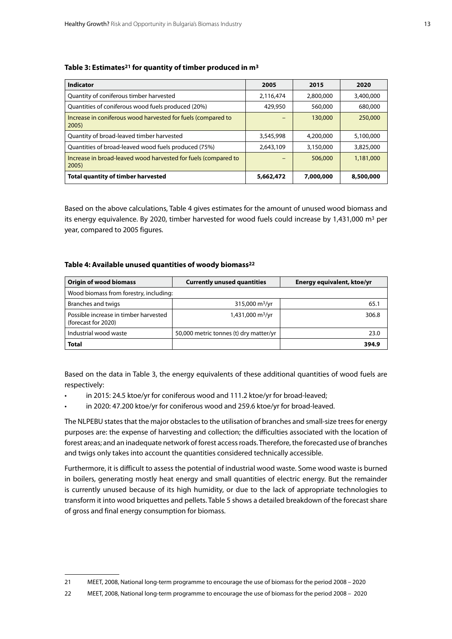#### <span id="page-12-0"></span>**Table 3: Estimates21 for quantity of timber produced in m3**

| <b>Indicator</b>                                                        | 2005      | 2015      | 2020      |
|-------------------------------------------------------------------------|-----------|-----------|-----------|
| Quantity of coniferous timber harvested                                 | 2,116,474 | 2,800,000 | 3,400,000 |
| Quantities of coniferous wood fuels produced (20%)                      | 429,950   | 560,000   | 680,000   |
| Increase in coniferous wood harvested for fuels (compared to<br>2005)   |           | 130,000   | 250,000   |
| Quantity of broad-leaved timber harvested                               | 3,545,998 | 4,200,000 | 5,100,000 |
| Quantities of broad-leaved wood fuels produced (75%)                    | 2,643,109 | 3,150,000 | 3,825,000 |
| Increase in broad-leaved wood harvested for fuels (compared to<br>2005) |           | 506,000   | 1,181,000 |
| <b>Total quantity of timber harvested</b>                               | 5,662,472 | 7,000,000 | 8,500,000 |

Based on the above calculations, Table 4 gives estimates for the amount of unused wood biomass and its energy equivalence. By 2020, timber harvested for wood fuels could increase by 1,431,000 m<sup>3</sup> per year, compared to 2005 figures.

#### **Table 4: Available unused quantities of woody biomass22**

| <b>Origin of wood biomass</b>                                | <b>Currently unused quantities</b>     | Energy equivalent, ktoe/yr |  |  |  |  |  |  |
|--------------------------------------------------------------|----------------------------------------|----------------------------|--|--|--|--|--|--|
| Wood biomass from forestry, including:                       |                                        |                            |  |  |  |  |  |  |
| Branches and twigs                                           | $315,000 \text{ m}^3/\text{yr}$        | 65.1                       |  |  |  |  |  |  |
| Possible increase in timber harvested<br>(forecast for 2020) | $1,431,000 \text{ m}^3/\text{yr}$      | 306.8                      |  |  |  |  |  |  |
| Industrial wood waste                                        | 50,000 metric tonnes (t) dry matter/yr | 23.0                       |  |  |  |  |  |  |
| Total                                                        |                                        | 394.9                      |  |  |  |  |  |  |

Based on the data in Table 3, the energy equivalents of these additional quantities of wood fuels are respectively:

- in 2015: 24.5 ktoe/yr for coniferous wood and 111.2 ktoe/yr for broad-leaved;
- in 2020: 47.200 ktoe/yr for coniferous wood and 259.6 ktoe/yr for broad-leaved.

The NLPEBU states that the major obstacles to the utilisation of branches and small-size trees for energy purposes are: the expense of harvesting and collection; the difficulties associated with the location of forest areas; and an inadequate network of forest access roads. Therefore, the forecasted use of branches and twigs only takes into account the quantities considered technically accessible.

Furthermore, it is difficult to assess the potential of industrial wood waste. Some wood waste is burned in boilers, generating mostly heat energy and small quantities of electric energy. But the remainder is currently unused because of its high humidity, or due to the lack of appropriate technologies to transform it into wood briquettes and pellets. Table 5 shows a detailed breakdown of the forecast share of gross and final energy consumption for biomass.

<sup>21</sup> MEET, 2008, National long-term programme to encourage the use of biomass for the period 2008 – 2020

<sup>22</sup> MEET, 2008, National long-term programme to encourage the use of biomass for the period 2008 – 2020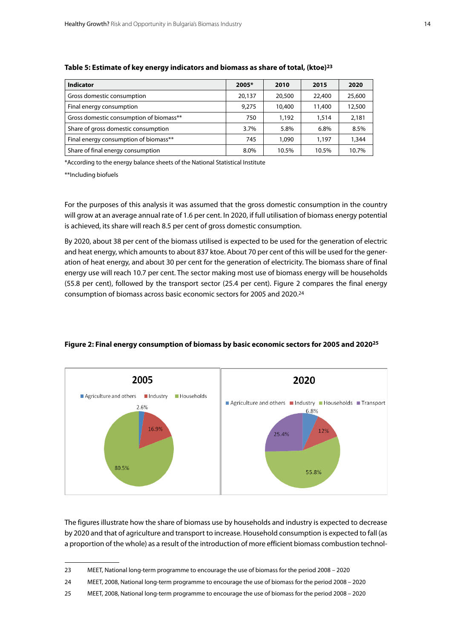| <b>Indicator</b>                        | 2005*  | 2010   | 2015   | 2020   |
|-----------------------------------------|--------|--------|--------|--------|
| Gross domestic consumption              | 20,137 | 20,500 | 22,400 | 25,600 |
| Final energy consumption                | 9,275  | 10,400 | 11,400 | 12,500 |
| Gross domestic consumption of biomass** | 750    | 1,192  | 1,514  | 2,181  |
| Share of gross domestic consumption     | 3.7%   | 5.8%   | 6.8%   | 8.5%   |
| Final energy consumption of biomass**   | 745    | 1,090  | 1,197  | 1,344  |
| Share of final energy consumption       | 8.0%   | 10.5%  | 10.5%  | 10.7%  |

<span id="page-13-0"></span>**Table 5: Estimate of key energy indicators and biomass as share of total, (ktoe)23**

\*According to the energy balance sheets of the National Statistical Institute

\*\*Including biofuels

For the purposes of this analysis it was assumed that the gross domestic consumption in the country will grow at an average annual rate of 1.6 per cent. In 2020, if full utilisation of biomass energy potential is achieved, its share will reach 8.5 per cent of gross domestic consumption.

By 2020, about 38 per cent of the biomass utilised is expected to be used for the generation of electric and heat energy, which amounts to about 837 ktoe. About 70 per cent of this will be used for the generation of heat energy, and about 30 per cent for the generation of electricity. The biomass share of final energy use will reach 10.7 per cent. The sector making most use of biomass energy will be households (55.8 per cent), followed by the transport sector (25.4 per cent). Figure 2 compares the final energy consumption of biomass across basic economic sectors for 2005 and 2020.24



#### **Figure 2: Final energy consumption of biomass by basic economic sectors for 2005 and 202025**

The figures illustrate how the share of biomass use by households and industry is expected to decrease by 2020 and that of agriculture and transport to increase. Household consumption is expected to fall (as a proportion of the whole) as a result of the introduction of more efficient biomass combustion technol-

<sup>23</sup> MEET, National long-term programme to encourage the use of biomass for the period 2008 – 2020

<sup>24</sup> MEET, 2008, National long-term programme to encourage the use of biomass for the period 2008 – 2020

<sup>25</sup> MEET, 2008, National long-term programme to encourage the use of biomass for the period 2008 – 2020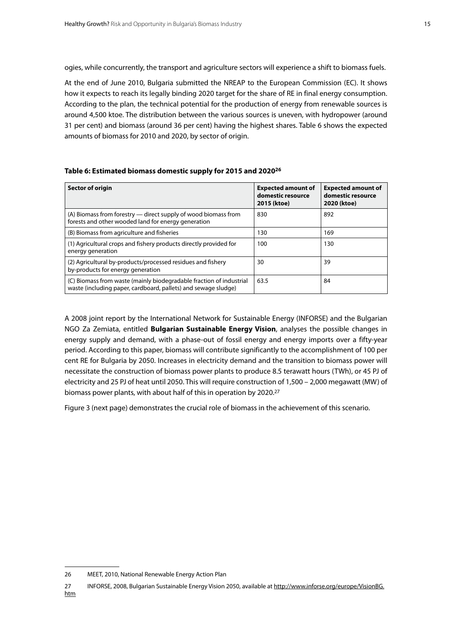<span id="page-14-0"></span>ogies, while concurrently, the transport and agriculture sectors will experience a shift to biomass fuels.

At the end of June 2010, Bulgaria submitted the NREAP to the European Commission (EC). It shows how it expects to reach its legally binding 2020 target for the share of RE in final energy consumption. According to the plan, the technical potential for the production of energy from renewable sources is around 4,500 ktoe. The distribution between the various sources is uneven, with hydropower (around 31 per cent) and biomass (around 36 per cent) having the highest shares. Table 6 shows the expected amounts of biomass for 2010 and 2020, by sector of origin.

| Table 6: Estimated biomass domestic supply for 2015 and 2020 <sup>26</sup> |  |
|----------------------------------------------------------------------------|--|
|----------------------------------------------------------------------------|--|

| <b>Sector of origin</b>                                                                                                               | <b>Expected amount of</b><br>domestic resource<br>2015 (ktoe) | <b>Expected amount of</b><br>domestic resource<br>2020 (ktoe) |
|---------------------------------------------------------------------------------------------------------------------------------------|---------------------------------------------------------------|---------------------------------------------------------------|
| (A) Biomass from forestry — direct supply of wood biomass from<br>forests and other wooded land for energy generation                 | 830                                                           | 892                                                           |
| (B) Biomass from agriculture and fisheries                                                                                            | 130                                                           | 169                                                           |
| (1) Agricultural crops and fishery products directly provided for<br>energy generation                                                | 100                                                           | 130                                                           |
| (2) Agricultural by-products/processed residues and fishery<br>by-products for energy generation                                      | 30                                                            | 39                                                            |
| (C) Biomass from waste (mainly biodegradable fraction of industrial<br>waste (including paper, cardboard, pallets) and sewage sludge) | 63.5                                                          | 84                                                            |

A 2008 joint report by the International Network for Sustainable Energy (INFORSE) and the Bulgarian NGO Za Zemiata, entitled **Bulgarian Sustainable Energy Vision**, analyses the possible changes in energy supply and demand, with a phase-out of fossil energy and energy imports over a fifty-year period. According to this paper, biomass will contribute significantly to the accomplishment of 100 per cent RE for Bulgaria by 2050. Increases in electricity demand and the transition to biomass power will necessitate the construction of biomass power plants to produce 8.5 terawatt hours (TWh), or 45 PJ of electricity and 25 PJ of heat until 2050. This will require construction of 1,500 – 2,000 megawatt (MW) of biomass power plants, with about half of this in operation by 2020.27

Figure 3 (next page) demonstrates the crucial role of biomass in the achievement of this scenario.

<sup>26</sup> MEET, 2010, National Renewable Energy Action Plan

<sup>27</sup> INFORSE, 2008, Bulgarian Sustainable Energy Vision 2050, available at [http://www.inforse.org/europe/VisionBG.](http://www.inforse.org/europe/VisionBG.htm)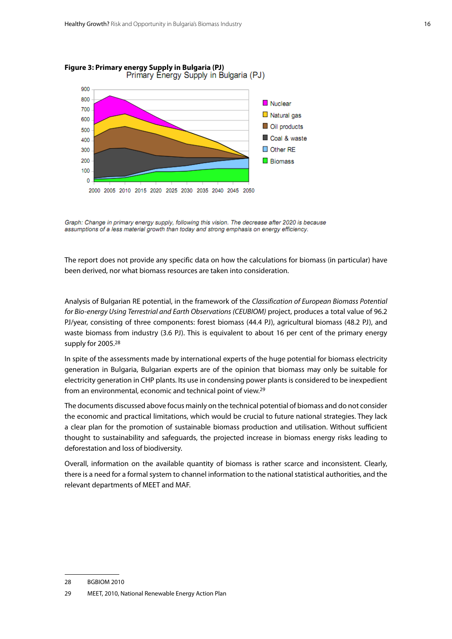<span id="page-15-0"></span>



Graph: Change in primary energy supply, following this vision. The decrease after 2020 is because assumptions of a less material growth than today and strong emphasis on energy efficiency.

The report does not provide any specific data on how the calculations for biomass (in particular) have been derived, nor what biomass resources are taken into consideration.

Analysis of Bulgarian RE potential, in the framework of the *Classification of European Biomass Potential for Bio-energy Using Terrestrial and Earth Observations (CEUBIOM)* project, produces a total value of 96.2 PJ/year, consisting of three components: forest biomass (44.4 PJ), agricultural biomass (48.2 PJ), and waste biomass from industry (3.6 PJ). This is equivalent to about 16 per cent of the primary energy supply for 2005.<sup>28</sup>

In spite of the assessments made by international experts of the huge potential for biomass electricity generation in Bulgaria, Bulgarian experts are of the opinion that biomass may only be suitable for electricity generation in CHP plants. Its use in condensing power plants is considered to be inexpedient from an environmental, economic and technical point of view.29

The documents discussed above focus mainly on the technical potential of biomass and do not consider the economic and practical limitations, which would be crucial to future national strategies. They lack a clear plan for the promotion of sustainable biomass production and utilisation. Without sufficient thought to sustainability and safeguards, the projected increase in biomass energy risks leading to deforestation and loss of biodiversity.

Overall, information on the available quantity of biomass is rather scarce and inconsistent. Clearly, there is a need for a formal system to channel information to the national statistical authorities, and the relevant departments of MEET and MAF.

<sup>28</sup> BGBIOM 2010

<sup>29</sup> MEET, 2010, National Renewable Energy Action Plan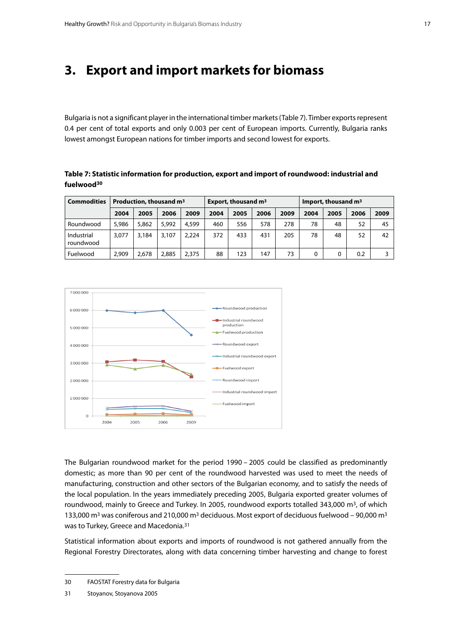### <span id="page-16-0"></span>**3. Export and import markets for biomass**

Bulgaria is not a significant player in the international timber markets (Table 7). Timber exports represent 0.4 per cent of total exports and only 0.003 per cent of European imports. Currently, Bulgaria ranks lowest amongst European nations for timber imports and second lowest for exports.

**Table 7: Statistic information for production, export and import of roundwood: industrial and fuelwood30**

| <b>Commodities</b>      | Production, thousand m <sup>3</sup> |       |       |       | Export, thousand m <sup>3</sup> |      |      |      | Import, thousand $m3$ |      |      |      |
|-------------------------|-------------------------------------|-------|-------|-------|---------------------------------|------|------|------|-----------------------|------|------|------|
|                         | 2004                                | 2005  | 2006  | 2009  | 2004                            | 2005 | 2006 | 2009 | 2004                  | 2005 | 2006 | 2009 |
| Roundwood               | 5,986                               | 5,862 | 5,992 | 4,599 | 460                             | 556  | 578  | 278  | 78                    | 48   | 52   | 45   |
| Industrial<br>roundwood | 3.077                               | 3,184 | 3,107 | 2.224 | 372                             | 433  | 431  | 205  | 78                    | 48   | 52   | 42   |
| Fuelwood                | 2.909                               | 2,678 | 2.885 | 2.375 | 88                              | 123  | 147  | 73   |                       | 0    | 0.2  |      |



The Bulgarian roundwood market for the period 1990 – 2005 could be classified as predominantly domestic; as more than 90 per cent of the roundwood harvested was used to meet the needs of manufacturing, construction and other sectors of the Bulgarian economy, and to satisfy the needs of the local population. In the years immediately preceding 2005, Bulgaria exported greater volumes of roundwood, mainly to Greece and Turkey. In 2005, roundwood exports totalled 343,000 m<sup>3</sup>, of which 133,000 m<sup>3</sup> was coniferous and 210,000 m<sup>3</sup> deciduous. Most export of deciduous fuelwood – 90,000 m<sup>3</sup> was to Turkey, Greece and Macedonia.31

Statistical information about exports and imports of roundwood is not gathered annually from the Regional Forestry Directorates, along with data concerning timber harvesting and change to forest

<sup>30</sup> FAOSTAT Forestry data for Bulgaria

<sup>31</sup> Stoyanov, Stoyanova 2005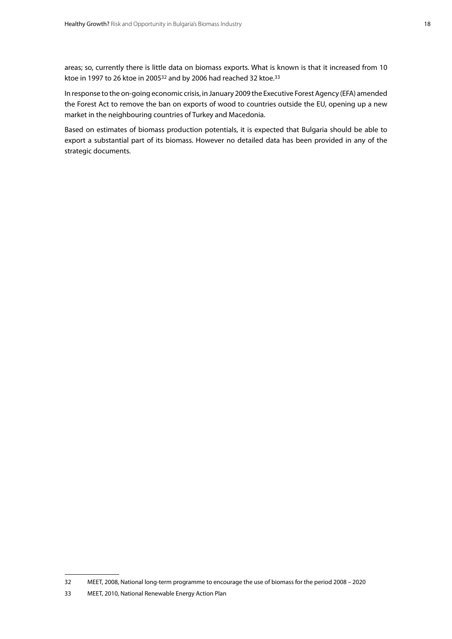areas; so, currently there is little data on biomass exports. What is known is that it increased from 10 ktoe in 1997 to 26 ktoe in 200532 and by 2006 had reached 32 ktoe.33

In response to the on-going economic crisis, in January 2009 the Executive Forest Agency (EFA) amended the Forest Act to remove the ban on exports of wood to countries outside the EU, opening up a new market in the neighbouring countries of Turkey and Macedonia.

Based on estimates of biomass production potentials, it is expected that Bulgaria should be able to export a substantial part of its biomass. However no detailed data has been provided in any of the strategic documents.

<sup>32</sup> MEET, 2008, National long-term programme to encourage the use of biomass for the period 2008 – 2020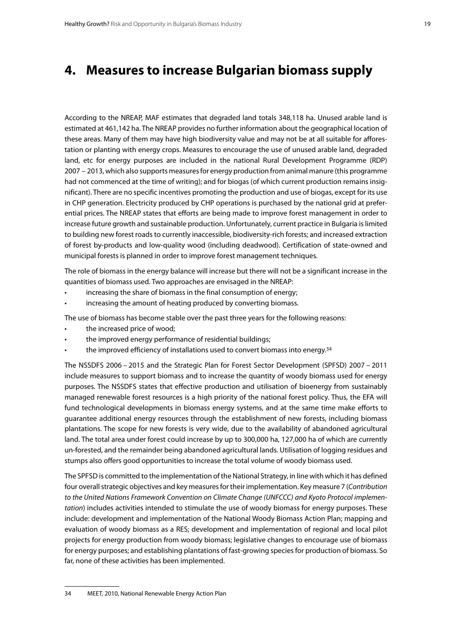### <span id="page-18-0"></span>**4. Measures to increase Bulgarian biomass supply**

According to the NREAP, MAF estimates that degraded land totals 348,118 ha. Unused arable land is estimated at 461,142 ha. The NREAP provides no further information about the geographical location of these areas. Many of them may have high biodiversity value and may not be at all suitable for afforestation or planting with energy crops. Measures to encourage the use of unused arable land, degraded land, etc for energy purposes are included in the national Rural Development Programme (RDP) 2007 – 2013, which also supports measures for energy production from animal manure (this programme had not commenced at the time of writing); and for biogas (of which current production remains insignificant). There are no specific incentives promoting the production and use of biogas, except for its use in CHP generation. Electricity produced by CHP operations is purchased by the national grid at preferential prices. The NREAP states that efforts are being made to improve forest management in order to increase future growth and sustainable production. Unfortunately, current practice in Bulgaria is limited to building new forest roads to currently inaccessible, biodiversity-rich forests; and increased extraction of forest by-products and low-quality wood (including deadwood). Certification of state-owned and municipal forests is planned in order to improve forest management techniques.

The role of biomass in the energy balance will increase but there will not be a significant increase in the quantities of biomass used. Two approaches are envisaged in the NREAP:

- increasing the share of biomass in the final consumption of energy;
- increasing the amount of heating produced by converting biomass.
- The use of biomass has become stable over the past three years for the following reasons:
- the increased price of wood:
- the improved energy performance of residential buildings;
- the improved efficiency of installations used to convert biomass into energy.<sup>34</sup>

The NSSDFS 2006 – 2015 and the Strategic Plan for Forest Sector Development (SPFSD) 2007 – 2011 include measures to support biomass and to increase the quantity of woody biomass used for energy purposes. The NSSDFS states that effective production and utilisation of bioenergy from sustainably managed renewable forest resources is a high priority of the national forest policy. Thus, the EFA will fund technological developments in biomass energy systems, and at the same time make efforts to guarantee additional energy resources through the establishment of new forests, including biomass plantations. The scope for new forests is very wide, due to the availability of abandoned agricultural land. The total area under forest could increase by up to 300,000 ha, 127,000 ha of which are currently un-forested, and the remainder being abandoned agricultural lands. Utilisation of logging residues and stumps also offers good opportunities to increase the total volume of woody biomass used.

The SPFSD is committed to the implementation of the National Strategy, in line with which it has defined four overall strategic objectives and key measures for their implementation. Key measure 7 (*Contribution to the United Nations Framework Convention on Climate Change (UNFCCC) and Kyoto Protocol implementation*) includes activities intended to stimulate the use of woody biomass for energy purposes. These include: development and implementation of the National Woody Biomass Action Plan; mapping and evaluation of woody biomass as a RES; development and implementation of regional and local pilot projects for energy production from woody biomass; legislative changes to encourage use of biomass for energy purposes; and establishing plantations of fast-growing species for production of biomass. So far, none of these activities has been implemented.

<sup>34</sup> MEET, 2010, National Renewable Energy Action Plan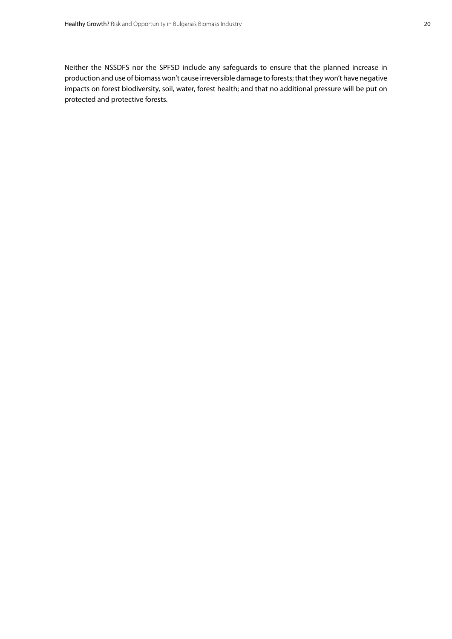Neither the NSSDFS nor the SPFSD include any safeguards to ensure that the planned increase in production and use of biomass won't cause irreversible damage to forests; that they won't have negative impacts on forest biodiversity, soil, water, forest health; and that no additional pressure will be put on protected and protective forests.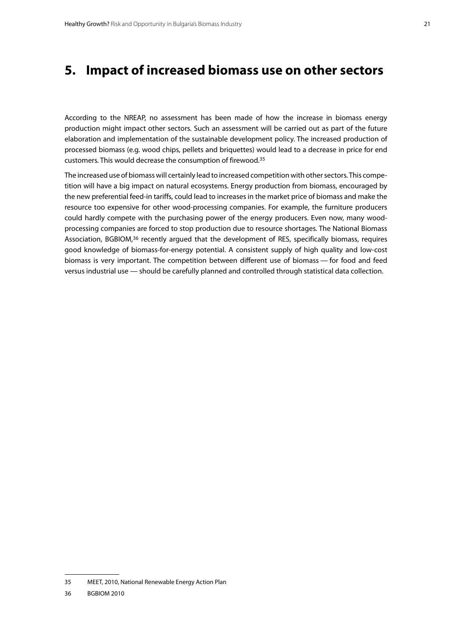### <span id="page-20-0"></span>**5. Impact of increased biomass use on other sectors**

According to the NREAP, no assessment has been made of how the increase in biomass energy production might impact other sectors. Such an assessment will be carried out as part of the future elaboration and implementation of the sustainable development policy. The increased production of processed biomass (e.g. wood chips, pellets and briquettes) would lead to a decrease in price for end customers. This would decrease the consumption of firewood.35

The increased use of biomass will certainly lead to increased competition with other sectors. This competition will have a big impact on natural ecosystems. Energy production from biomass, encouraged by the new preferential feed-in tariffs, could lead to increases in the market price of biomass and make the resource too expensive for other wood-processing companies. For example, the furniture producers could hardly compete with the purchasing power of the energy producers. Even now, many woodprocessing companies are forced to stop production due to resource shortages. The National Biomass Association, BGBIOM,36 recently argued that the development of RES, specifically biomass, requires good knowledge of biomass-for-energy potential. A consistent supply of high quality and low-cost biomass is very important. The competition between different use of biomass — for food and feed versus industrial use — should be carefully planned and controlled through statistical data collection.

<sup>35</sup> MEET, 2010, National Renewable Energy Action Plan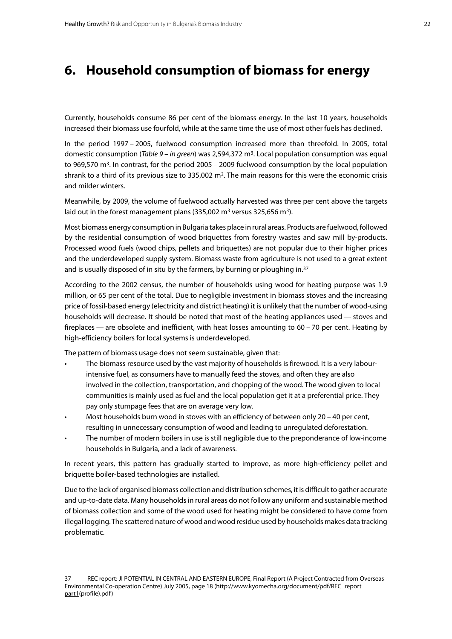### <span id="page-21-0"></span>**6. Household consumption of biomass for energy**

Currently, households consume 86 per cent of the biomass energy. In the last 10 years, households increased their biomass use fourfold, while at the same time the use of most other fuels has declined.

In the period 1997 – 2005, fuelwood consumption increased more than threefold. In 2005, total domestic consumption (*Table 9 – in green*) was 2,594,372 m3. Local population consumption was equal to 969,570 m<sup>3</sup>. In contrast, for the period 2005 – 2009 fuelwood consumption by the local population shrank to a third of its previous size to 335,002 m<sup>3</sup>. The main reasons for this were the economic crisis and milder winters.

Meanwhile, by 2009, the volume of fuelwood actually harvested was three per cent above the targets laid out in the forest management plans (335,002 m<sup>3</sup> versus 325,656 m<sup>3</sup>).

Most biomass energy consumption in Bulgaria takes place in rural areas. Products are fuelwood, followed by the residential consumption of wood briquettes from forestry wastes and saw mill by-products. Processed wood fuels (wood chips, pellets and briquettes) are not popular due to their higher prices and the underdeveloped supply system. Biomass waste from agriculture is not used to a great extent and is usually disposed of in situ by the farmers, by burning or ploughing in.<sup>37</sup>

According to the 2002 census, the number of households using wood for heating purpose was 1.9 million, or 65 per cent of the total. Due to negligible investment in biomass stoves and the increasing price of fossil-based energy (electricity and district heating) it is unlikely that the number of wood-using households will decrease. It should be noted that most of the heating appliances used — stoves and fireplaces — are obsolete and inefficient, with heat losses amounting to 60 – 70 per cent. Heating by high-efficiency boilers for local systems is underdeveloped.

The pattern of biomass usage does not seem sustainable, given that:

- The biomass resource used by the vast majority of households is firewood. It is a very labourintensive fuel, as consumers have to manually feed the stoves, and often they are also involved in the collection, transportation, and chopping of the wood. The wood given to local communities is mainly used as fuel and the local population get it at a preferential price. They pay only stumpage fees that are on average very low.
- Most households burn wood in stoves with an efficiency of between only  $20 40$  per cent, resulting in unnecessary consumption of wood and leading to unregulated deforestation.
- The number of modern boilers in use is still negligible due to the preponderance of low-income households in Bulgaria, and a lack of awareness.

In recent years, this pattern has gradually started to improve, as more high-efficiency pellet and briquette boiler-based technologies are installed.

Due to the lack of organised biomass collection and distribution schemes, it is difficult to gather accurate and up-to-date data. Many households in rural areas do not follow any uniform and sustainable method of biomass collection and some of the wood used for heating might be considered to have come from illegal logging. The scattered nature of wood and wood residue used by households makes data tracking problematic.

<sup>37</sup> REC report: JI POTENTIAL IN CENTRAL AND EASTERN EUROPE, Final Report (A Project Contracted from Overseas Environmental Co-operation Centre) July 2005, page 18 ([http://www.kyomecha.org/document/pdf/REC\\_report\\_](http://www.kyomecha.org/document/pdf/REC_report_part1) [part1](http://www.kyomecha.org/document/pdf/REC_report_part1)(profile).pdf)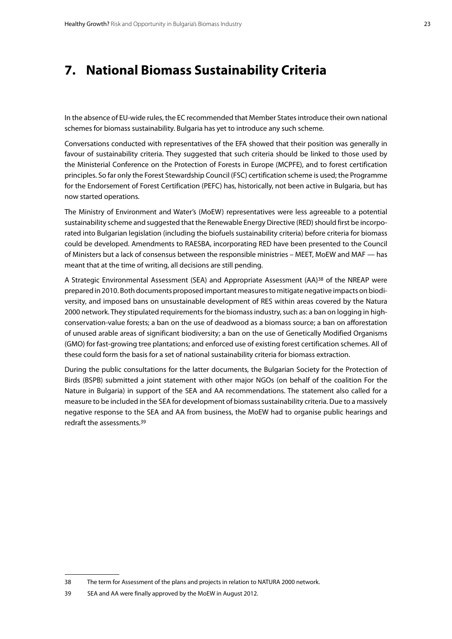### <span id="page-22-0"></span>**7. National Biomass Sustainability Criteria**

In the absence of EU-wide rules, the EC recommended that Member States introduce their own national schemes for biomass sustainability. Bulgaria has yet to introduce any such scheme.

Conversations conducted with representatives of the EFA showed that their position was generally in favour of sustainability criteria. They suggested that such criteria should be linked to those used by the Ministerial Conference on the Protection of Forests in Europe (MCPFE), and to forest certification principles. So far only the Forest Stewardship Council (FSC) certification scheme is used; the Programme for the Endorsement of Forest Certification (PEFC) has, historically, not been active in Bulgaria, but has now started operations.

The Ministry of Environment and Water's (MoEW) representatives were less agreeable to a potential sustainability scheme and suggested that the Renewable Energy Directive (RED) should first be incorporated into Bulgarian legislation (including the biofuels sustainability criteria) before criteria for biomass could be developed. Amendments to RAESBA, incorporating RED have been presented to the Council of Ministers but a lack of consensus between the responsible ministries – MEET, MoEW and MAF — has meant that at the time of writing, all decisions are still pending.

A Strategic Environmental Assessment (SEA) and Appropriate Assessment (AA)38 of the NREAP were prepared in 2010. Both documents proposed important measures to mitigate negative impacts on biodiversity, and imposed bans on unsustainable development of RES within areas covered by the Natura 2000 network. They stipulated requirements for the biomass industry, such as: a ban on logging in highconservation-value forests; a ban on the use of deadwood as a biomass source; a ban on afforestation of unused arable areas of significant biodiversity; a ban on the use of Genetically Modified Organisms (GMO) for fast-growing tree plantations; and enforced use of existing forest certification schemes. All of these could form the basis for a set of national sustainability criteria for biomass extraction.

During the public consultations for the latter documents, the Bulgarian Society for the Protection of Birds (BSPB) submitted a joint statement with other major NGOs (on behalf of the coalition For the Nature in Bulgaria) in support of the SEA and AA recommendations. The statement also called for a measure to be included in the SEA for development of biomass sustainability criteria. Due to a massively negative response to the SEA and AA from business, the MoEW had to organise public hearings and redraft the assessments.39

<sup>38</sup> The term for Assessment of the plans and projects in relation to NATURA 2000 network.

<sup>39</sup> SEA and AA were finally approved by the MoEW in August 2012.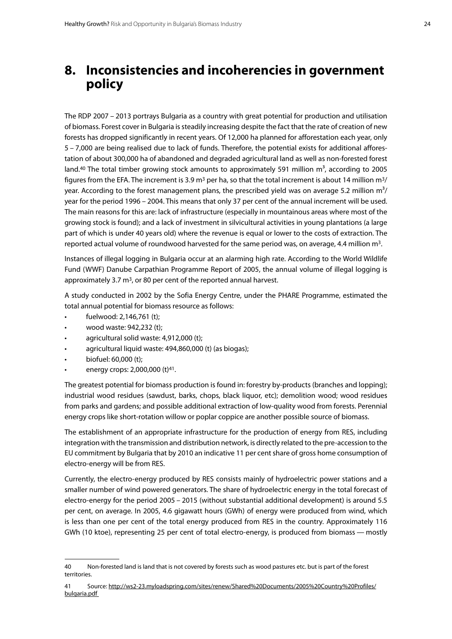### <span id="page-23-0"></span>**8. Inconsistencies and incoherencies in government policy**

The RDP 2007 – 2013 portrays Bulgaria as a country with great potential for production and utilisation of biomass. Forest cover in Bulgaria is steadily increasing despite the fact that the rate of creation of new forests has dropped significantly in recent years. Of 12,000 ha planned for afforestation each year, only 5 – 7,000 are being realised due to lack of funds. Therefore, the potential exists for additional afforestation of about 300,000 ha of abandoned and degraded agricultural land as well as non-forested forest land.<sup>40</sup> The total timber growing stock amounts to approximately 591 million  $m<sup>3</sup>$ , according to 2005 figures from the EFA. The increment is 3.9 m<sup>3</sup> per ha, so that the total increment is about 14 million m<sup>3</sup>/ year. According to the forest management plans, the prescribed yield was on average 5.2 million  $m^3$ / year for the period 1996 – 2004. This means that only 37 per cent of the annual increment will be used. The main reasons for this are: lack of infrastructure (especially in mountainous areas where most of the growing stock is found); and a lack of investment in silvicultural activities in young plantations (a large part of which is under 40 years old) where the revenue is equal or lower to the costs of extraction. The reported actual volume of roundwood harvested for the same period was, on average, 4.4 million  $m^3$ .

Instances of illegal logging in Bulgaria occur at an alarming high rate. According to the World Wildlife Fund (WWF) Danube Carpathian Programme Report of 2005, the annual volume of illegal logging is approximately 3.7  $m<sup>3</sup>$ , or 80 per cent of the reported annual harvest.

A study conducted in 2002 by the Sofia Energy Centre, under the PHARE Programme, estimated the total annual potential for biomass resource as follows:

- fuelwood: 2,146,761 (t);
- wood waste: 942,232 (t);
- agricultural solid waste: 4,912,000 (t);
- agricultural liquid waste: 494,860,000 (t) (as biogas);
- biofuel: 60,000 (t);
- energy crops: 2,000,000  $(t)^{41}$ .

The greatest potential for biomass production is found in: forestry by-products (branches and lopping); industrial wood residues (sawdust, barks, chops, black liquor, etc); demolition wood; wood residues from parks and gardens; and possible additional extraction of low-quality wood from forests. Perennial energy crops like short-rotation willow or poplar coppice are another possible source of biomass.

The establishment of an appropriate infrastructure for the production of energy from RES, including integration with the transmission and distribution network, is directly related to the pre-accession to the EU commitment by Bulgaria that by 2010 an indicative 11 per cent share of gross home consumption of electro-energy will be from RES.

Currently, the electro-energy produced by RES consists mainly of hydroelectric power stations and a smaller number of wind powered generators. The share of hydroelectric energy in the total forecast of electro-energy for the period 2005 – 2015 (without substantial additional development) is around 5.5 per cent, on average. In 2005, 4.6 gigawatt hours (GWh) of energy were produced from wind, which is less than one per cent of the total energy produced from RES in the country. Approximately 116 GWh (10 ktoe), representing 25 per cent of total electro-energy, is produced from biomass — mostly

<sup>40</sup> Non-forested land is land that is not covered by forests such as wood pastures etc. but is part of the forest territories.

<sup>41</sup> Source:<http://ws2-23.myloadspring.com/sites/renew/Shared>%20Documents/2005%20Country%20Profiles/ <bulgaria.pdf>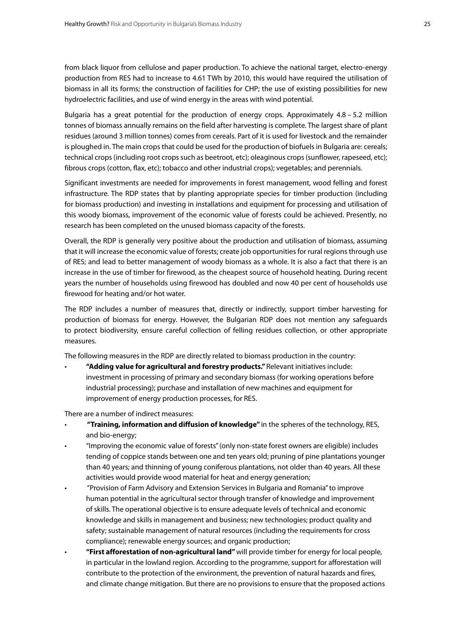from black liquor from cellulose and paper production. To achieve the national target, electro-energy production from RES had to increase to 4.61 TWh by 2010, this would have required the utilisation of biomass in all its forms; the construction of facilities for CHP; the use of existing possibilities for new hydroelectric facilities, and use of wind energy in the areas with wind potential.

Bulgaria has a great potential for the production of energy crops. Approximately 4.8 – 5.2 million tonnes of biomass annually remains on the field after harvesting is complete. The largest share of plant residues (around 3 million tonnes) comes from cereals. Part of it is used for livestock and the remainder is ploughed in. The main crops that could be used for the production of biofuels in Bulgaria are: cereals; technical crops (including root crops such as beetroot, etc); oleaginous crops (sunflower, rapeseed, etc); fibrous crops (cotton, flax, etc); tobacco and other industrial crops); vegetables; and perennials.

Significant investments are needed for improvements in forest management, wood felling and forest infrastructure. The RDP states that by planting appropriate species for timber production (including for biomass production) and investing in installations and equipment for processing and utilisation of this woody biomass, improvement of the economic value of forests could be achieved. Presently, no research has been completed on the unused biomass capacity of the forests.

Overall, the RDP is generally very positive about the production and utilisation of biomass, assuming that it will increase the economic value of forests; create job opportunities for rural regions through use of RES; and lead to better management of woody biomass as a whole. It is also a fact that there is an increase in the use of timber for firewood, as the cheapest source of household heating. During recent years the number of households using firewood has doubled and now 40 per cent of households use firewood for heating and/or hot water.

The RDP includes a number of measures that, directly or indirectly, support timber harvesting for production of biomass for energy. However, the Bulgarian RDP does not mention any safeguards to protect biodiversity, ensure careful collection of felling residues collection, or other appropriate measures.

The following measures in the RDP are directly related to biomass production in the country:

"Adding value for agricultural and forestry products." Relevant initiatives include: investment in processing of primary and secondary biomass (for working operations before industrial processing); purchase and installation of new machines and equipment for improvement of energy production processes, for RES.

There are a number of indirect measures:

- •  **"Training, information and diffusion of knowledge"** in the spheres of the technology, RES, and bio-energy;
- • "Improving the economic value of forests" (only non-state forest owners are eligible) includes tending of coppice stands between one and ten years old; pruning of pine plantations younger than 40 years; and thinning of young coniferous plantations, not older than 40 years. All these activities would provide wood material for heat and energy generation;
- • "Provision of Farm Advisory and Extension Services in Bulgaria and Romania" to improve human potential in the agricultural sector through transfer of knowledge and improvement of skills. The operational objective is to ensure adequate levels of technical and economic knowledge and skills in management and business; new technologies; product quality and safety; sustainable management of natural resources (including the requirements for cross compliance); renewable energy sources; and organic production;
- • **"First afforestation of non-agricultural land"** will provide timber for energy for local people, in particular in the lowland region. According to the programme, support for afforestation will contribute to the protection of the environment, the prevention of natural hazards and fires, and climate change mitigation. But there are no provisions to ensure that the proposed actions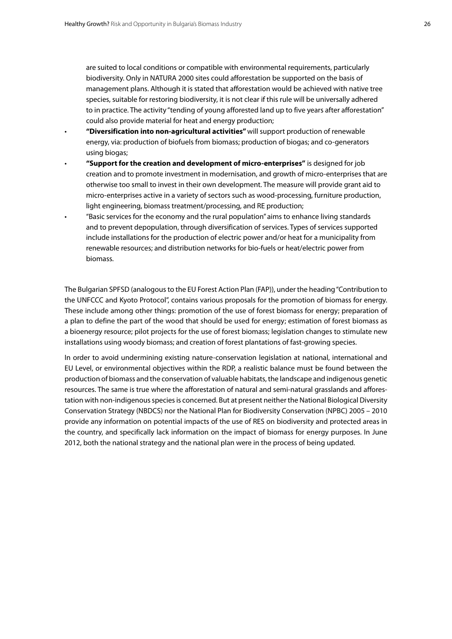are suited to local conditions or compatible with environmental requirements, particularly biodiversity. Only in NATURA 2000 sites could afforestation be supported on the basis of management plans. Although it is stated that afforestation would be achieved with native tree species, suitable for restoring biodiversity, it is not clear if this rule will be universally adhered to in practice. The activity "tending of young afforested land up to five years after afforestation" could also provide material for heat and energy production;

- • **"Diversification into non-agricultural activities"** will support production of renewable energy, via: production of biofuels from biomass; production of biogas; and co-generators using biogas;
- • **"Support for the creation and development of micro-enterprises"** is designed for job creation and to promote investment in modernisation, and growth of micro-enterprises that are otherwise too small to invest in their own development. The measure will provide grant aid to micro-enterprises active in a variety of sectors such as wood-processing, furniture production, light engineering, biomass treatment/processing, and RE production;
- "Basic services for the economy and the rural population" aims to enhance living standards and to prevent depopulation, through diversification of services. Types of services supported include installations for the production of electric power and/or heat for a municipality from renewable resources; and distribution networks for bio-fuels or heat/electric power from biomass.

The Bulgarian SPFSD (analogous to the EU Forest Action Plan (FAP)), under the heading "Contribution to the UNFCCC and Kyoto Protocol", contains various proposals for the promotion of biomass for energy. These include among other things: promotion of the use of forest biomass for energy; preparation of a plan to define the part of the wood that should be used for energy; estimation of forest biomass as a bioenergy resource; pilot projects for the use of forest biomass; legislation changes to stimulate new installations using woody biomass; and creation of forest plantations of fast-growing species.

In order to avoid undermining existing nature-conservation legislation at national, international and EU Level, or environmental objectives within the RDP, a realistic balance must be found between the production of biomass and the conservation of valuable habitats, the landscape and indigenous genetic resources. The same is true where the afforestation of natural and semi-natural grasslands and afforestation with non-indigenous species is concerned. But at present neither the National Biological Diversity Conservation Strategy (NBDCS) nor the National Plan for Biodiversity Conservation (NPBC) 2005 – 2010 provide any information on potential impacts of the use of RES on biodiversity and protected areas in the country, and specifically lack information on the impact of biomass for energy purposes. In June 2012, both the national strategy and the national plan were in the process of being updated.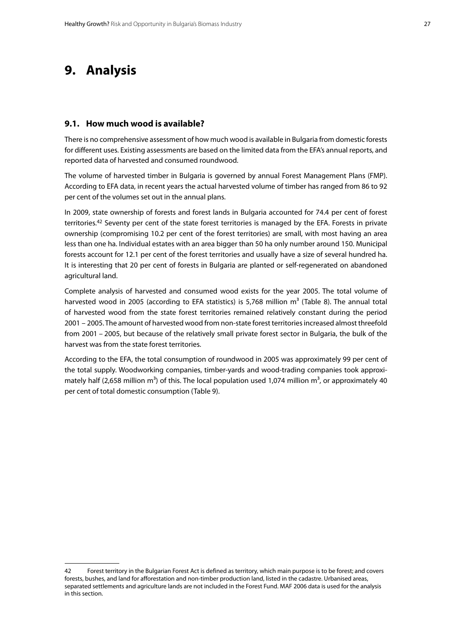### <span id="page-26-0"></span>**9. Analysis**

#### **9.1. How much wood is available?**

There is no comprehensive assessment of how much wood is available in Bulgaria from domestic forests for different uses. Existing assessments are based on the limited data from the EFA's annual reports, and reported data of harvested and consumed roundwood.

The volume of harvested timber in Bulgaria is governed by annual Forest Management Plans (FMP). According to EFA data, in recent years the actual harvested volume of timber has ranged from 86 to 92 per cent of the volumes set out in the annual plans.

In 2009, state ownership of forests and forest lands in Bulgaria accounted for 74.4 per cent of forest territories.42 Seventy per cent of the state forest territories is managed by the EFA. Forests in private ownership (compromising 10.2 per cent of the forest territories) are small, with most having an area less than one ha. Individual estates with an area bigger than 50 ha only number around 150. Municipal forests account for 12.1 per cent of the forest territories and usually have a size of several hundred ha. It is interesting that 20 per cent of forests in Bulgaria are planted or self-regenerated on abandoned agricultural land.

Complete analysis of harvested and consumed wood exists for the year 2005. The total volume of harvested wood in 2005 (according to EFA statistics) is 5,768 million  $m<sup>3</sup>$  (Table 8). The annual total of harvested wood from the state forest territories remained relatively constant during the period 2001 – 2005. The amount of harvested wood from non-state forest territories increased almost threefold from 2001 – 2005, but because of the relatively small private forest sector in Bulgaria, the bulk of the harvest was from the state forest territories.

According to the EFA, the total consumption of roundwood in 2005 was approximately 99 per cent of the total supply. Woodworking companies, timber-yards and wood-trading companies took approximately half (2,658 million  $m<sup>3</sup>$ ) of this. The local population used 1,074 million  $m<sup>3</sup>$ , or approximately 40 per cent of total domestic consumption (Table 9).

<sup>42</sup> Forest territory in the Bulgarian Forest Act is defined as territory, which main purpose is to be forest; and covers forests, bushes, and land for afforestation and non-timber production land, listed in the cadastre. Urbanised areas, separated settlements and agriculture lands are not included in the Forest Fund. MAF 2006 data is used for the analysis in this section.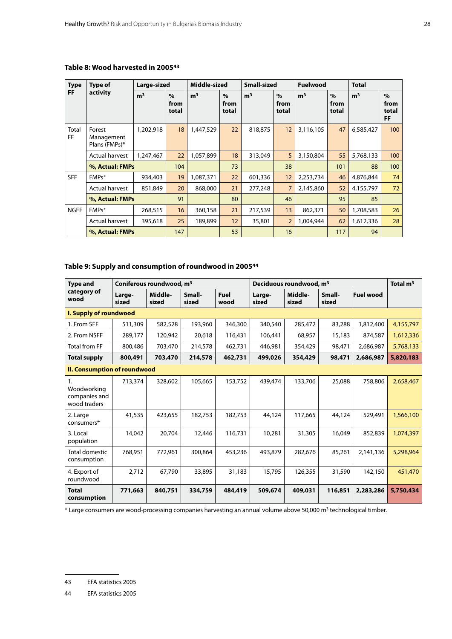| <b>Type</b>        | Type of                               | Large-sized    |                       | Middle-sized   |                                | <b>Small-sized</b> |                                | <b>Fuelwood</b> |                                | <b>Total</b>   |                                      |
|--------------------|---------------------------------------|----------------|-----------------------|----------------|--------------------------------|--------------------|--------------------------------|-----------------|--------------------------------|----------------|--------------------------------------|
| <b>FF</b>          | activity                              | m <sup>3</sup> | $\%$<br>from<br>total | m <sup>3</sup> | $\frac{0}{0}$<br>from<br>total | m <sup>3</sup>     | $\frac{0}{0}$<br>from<br>total | m <sup>3</sup>  | $\frac{0}{0}$<br>from<br>total | m <sup>3</sup> | $\frac{0}{0}$<br>from<br>total<br>FF |
| Total<br><b>FF</b> | Forest<br>Management<br>Plans (FMPs)* | 1,202,918      | 18                    | 1,447,529      | 22                             | 818,875            | 12                             | 3,116,105       | 47                             | 6,585,427      | 100                                  |
|                    | <b>Actual harvest</b>                 | 1,247,467      | 22                    | 1,057,899      | 18                             | 313,049            | 5                              | 3,150,804       | 55                             | 5,768,133      | 100                                  |
|                    | %, Actual: FMPs                       |                | 104                   |                | 73                             |                    | 38                             |                 | 101                            | 88             | 100                                  |
| <b>SFF</b>         | FMP <sub>s</sub> *                    | 934,403        | 19                    | 1,087,371      | 22                             | 601,336            | 12                             | 2,253,734       | 46                             | 4,876,844      | 74                                   |
|                    | Actual harvest                        | 851,849        | 20                    | 868,000        | 21                             | 277,248            | $\overline{7}$                 | 2,145,860       | 52                             | 4,155,797      | 72                                   |
|                    | %, Actual: FMPs                       |                | 91                    |                | 80                             |                    | 46                             |                 | 95                             | 85             |                                      |
| <b>NGFF</b>        | $FMPs*$                               | 268,515        | 16                    | 360,158        | 21                             | 217,539            | 13                             | 862,371         | 50                             | 1,708,583      | 26                                   |
|                    | Actual harvest                        | 395,618        | 25                    | 189,899        | 12                             | 35,801             | $\overline{2}$                 | 1,004,944       | 62                             | 1,612,336      | 28                                   |
|                    | %, Actual: FMPs                       |                | 147                   |                | 53                             |                    | 16                             |                 | 117                            | 94             |                                      |

#### <span id="page-27-0"></span>**Table 8: Wood harvested in 200543**

#### **Table 9: Supply and consumption of roundwood in 200544**

| <b>Type and</b>                                    |                 | Coniferous roundwood, m <sup>3</sup> |                 |                     | Deciduous roundwood, m <sup>3</sup> | Total $m3$       |                 |                  |           |
|----------------------------------------------------|-----------------|--------------------------------------|-----------------|---------------------|-------------------------------------|------------------|-----------------|------------------|-----------|
| category of<br>wood                                | Large-<br>sized | Middle-<br>sized                     | Small-<br>sized | <b>Fuel</b><br>wood | Large-<br>sized                     | Middle-<br>sized | Small-<br>sized | <b>Fuel wood</b> |           |
| <b>I. Supply of roundwood</b>                      |                 |                                      |                 |                     |                                     |                  |                 |                  |           |
| 1. From SFF                                        | 511,309         | 582,528                              | 193,960         | 346,300             | 340,540                             | 285,472          | 83,288          | 1,812,400        | 4,155,797 |
| 2. From NSFF                                       | 289,177         | 120,942                              | 20,618          | 116,431             | 106,441                             | 68,957           | 15,183          | 874,587          | 1,612,336 |
| <b>Total from FF</b>                               | 800,486         | 703,470                              | 214,578         | 462,731             | 446,981                             | 354,429          | 98,471          | 2,686,987        | 5,768,133 |
| <b>Total supply</b>                                | 800,491         | 703,470                              | 214,578         | 462,731             | 499,026                             | 354,429          | 98,471          | 2,686,987        | 5,820,183 |
| <b>II. Consumption of roundwood</b>                |                 |                                      |                 |                     |                                     |                  |                 |                  |           |
| 1.<br>Woodworking<br>companies and<br>wood traders | 713,374         | 328,602                              | 105,665         | 153,752             | 439,474                             | 133,706          | 25,088          | 758,806          | 2,658,467 |
| 2. Large<br>consumers*                             | 41,535          | 423,655                              | 182,753         | 182,753             | 44,124                              | 117,665          | 44,124          | 529,491          | 1,566,100 |
| 3. Local<br>population                             | 14,042          | 20,704                               | 12,446          | 116,731             | 10,281                              | 31,305           | 16,049          | 852,839          | 1,074,397 |
| <b>Total domestic</b><br>consumption               | 768,951         | 772,961                              | 300,864         | 453,236             | 493,879                             | 282,676          | 85,261          | 2,141,136        | 5,298,964 |
| 4. Export of<br>roundwood                          | 2,712           | 67,790                               | 33,895          | 31,183              | 15,795                              | 126,355          | 31,590          | 142,150          | 451,470   |
| <b>Total</b><br>consumption                        | 771,663         | 840,751                              | 334,759         | 484,419             | 509,674                             | 409,031          | 116,851         | 2,283,286        | 5,750,434 |

\* Large consumers are wood-processing companies harvesting an annual volume above 50,000 m3 technological timber.

<sup>43</sup> EFA statistics 2005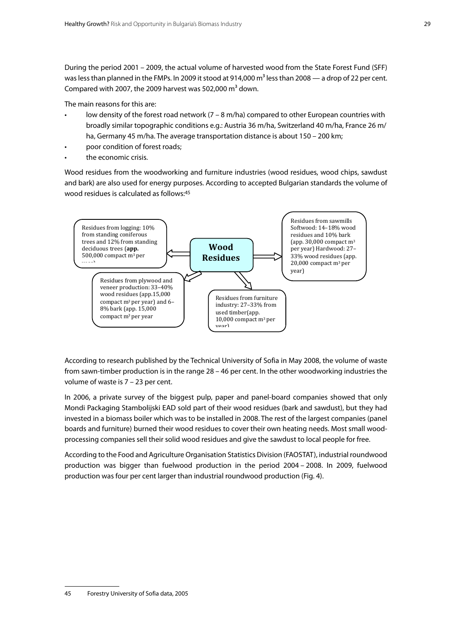During the period 2001 – 2009, the actual volume of harvested wood from the State Forest Fund (SFF) was less than planned in the FMPs. In 2009 it stood at 914,000  $m<sup>3</sup>$  less than 2008 — a drop of 22 per cent. Compared with 2007, the 2009 harvest was 502,000  $m<sup>3</sup>$  down.

The main reasons for this are:

- low density of the forest road network  $(7 8 \text{ m/ha})$  compared to other European countries with broadly similar topographic conditions e.g.: Austria 36 m/ha, Switzerland 40 m/ha, France 26 m/ ha, Germany 45 m/ha. The average transportation distance is about 150 – 200 km;
- poor condition of forest roads;
- the economic crisis.

Wood residues from the woodworking and furniture industries (wood residues, wood chips, sawdust and bark) are also used for energy purposes. According to accepted Bulgarian standards the volume of wood residues is calculated as follows:45



According to research published by the Technical University of Sofia in May 2008, the volume of waste from sawn-timber production is in the range 28 – 46 per cent. In the other woodworking industries the volume of waste is 7 – 23 per cent.

In 2006, a private survey of the biggest pulp, paper and panel-board companies showed that only Mondi Packaging Stambolijski EAD sold part of their wood residues (bark and sawdust), but they had invested in a biomass boiler which was to be installed in 2008. The rest of the largest companies (panel boards and furniture) burned their wood residues to cover their own heating needs. Most small woodprocessing companies sell their solid wood residues and give the sawdust to local people for free.

According to the Food and Agriculture Organisation Statistics Division (FAOSTAT), industrial roundwood production was bigger than fuelwood production in the period 2004 – 2008. In 2009, fuelwood production was four per cent larger than industrial roundwood production (Fig. 4).

<sup>45</sup> Forestry University of Sofia data, 2005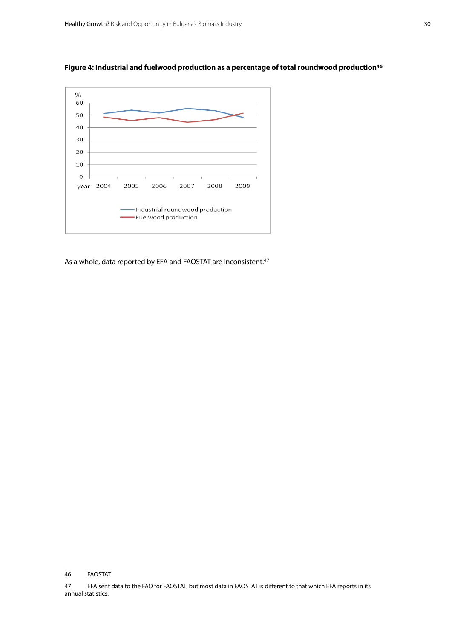

#### <span id="page-29-0"></span>**Figure 4: Industrial and fuelwood production as a percentage of total roundwood production46**

As a whole, data reported by EFA and FAOSTAT are inconsistent.<sup>47</sup>

<sup>46</sup> FAOSTAT

<sup>47</sup> EFA sent data to the FAO for FAOSTAT, but most data in FAOSTAT is different to that which EFA reports in its annual statistics.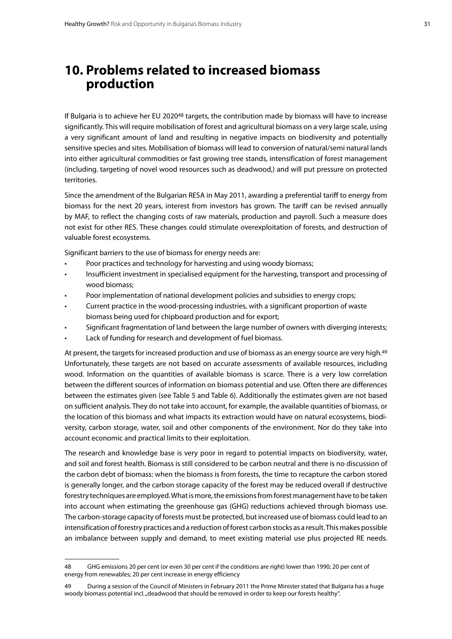### <span id="page-30-0"></span>**10. Problems related to increased biomass production**

If Bulgaria is to achieve her EU 2020<sup>48</sup> targets, the contribution made by biomass will have to increase significantly. This will require mobilisation of forest and agricultural biomass on a very large scale, using a very significant amount of land and resulting in negative impacts on biodiversity and potentially sensitive species and sites. Mobilisation of biomass will lead to conversion of natural/semi natural lands into either agricultural commodities or fast growing tree stands, intensification of forest management (including. targeting of novel wood resources such as deadwood,) and will put pressure on protected territories.

Since the amendment of the Bulgarian RESA in May 2011, awarding a preferential tariff to energy from biomass for the next 20 years, interest from investors has grown. The tariff can be revised annually by MAF, to reflect the changing costs of raw materials, production and payroll. Such a measure does not exist for other RES. These changes could stimulate overexploitation of forests, and destruction of valuable forest ecosystems.

Significant barriers to the use of biomass for energy needs are:

- Poor practices and technology for harvesting and using woody biomass;
- Insufficient investment in specialised equipment for the harvesting, transport and processing of wood biomass;
- Poor implementation of national development policies and subsidies to energy crops;
- Current practice in the wood-processing industries, with a significant proportion of waste biomass being used for chipboard production and for export;
- Significant fragmentation of land between the large number of owners with diverging interests;
- Lack of funding for research and development of fuel biomass.

At present, the targets for increased production and use of biomass as an energy source are very high.<sup>49</sup> Unfortunately, these targets are not based on accurate assessments of available resources, including wood. Information on the quantities of available biomass is scarce. There is a very low correlation between the different sources of information on biomass potential and use. Often there are differences between the estimates given (see Table 5 and Table 6). Additionally the estimates given are not based on sufficient analysis. They do not take into account, for example, the available quantities of biomass, or the location of this biomass and what impacts its extraction would have on natural ecosystems, biodiversity, carbon storage, water, soil and other components of the environment. Nor do they take into account economic and practical limits to their exploitation.

The research and knowledge base is very poor in regard to potential impacts on biodiversity, water, and soil and forest health. Biomass is still considered to be carbon neutral and there is no discussion of the carbon debt of biomass: when the biomass is from forests, the time to recapture the carbon stored is generally longer, and the carbon storage capacity of the forest may be reduced overall if destructive forestry techniques are employed. What is more, the emissions from forest management have to be taken into account when estimating the greenhouse gas (GHG) reductions achieved through biomass use. The carbon-storage capacity of forests must be protected, but increased use of biomass could lead to an intensification of forestry practices and a reduction of forest carbon stocks as a result. This makes possible an imbalance between supply and demand, to meet existing material use plus projected RE needs.

<sup>48</sup> GHG emissions 20 per cent (or even 30 per cent if the conditions are right) lower than 1990; 20 per cent of energy from renewables; 20 per cent increase in energy efficiency

<sup>49</sup> During a session of the Council of Ministers in February 2011 the Prime Minister stated that Bulgaria has a huge woody biomass potential incl. "deadwood that should be removed in order to keep our forests healthy".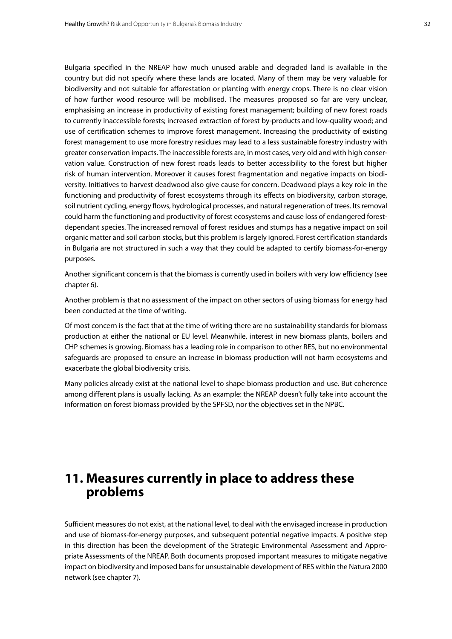<span id="page-31-0"></span>Bulgaria specified in the NREAP how much unused arable and degraded land is available in the country but did not specify where these lands are located. Many of them may be very valuable for biodiversity and not suitable for afforestation or planting with energy crops. There is no clear vision of how further wood resource will be mobilised. The measures proposed so far are very unclear, emphasising an increase in productivity of existing forest management; building of new forest roads to currently inaccessible forests; increased extraction of forest by-products and low-quality wood; and use of certification schemes to improve forest management. Increasing the productivity of existing forest management to use more forestry residues may lead to a less sustainable forestry industry with greater conservation impacts. The inaccessible forests are, in most cases, very old and with high conservation value. Construction of new forest roads leads to better accessibility to the forest but higher risk of human intervention. Moreover it causes forest fragmentation and negative impacts on biodiversity. Initiatives to harvest deadwood also give cause for concern. Deadwood plays a key role in the functioning and productivity of forest ecosystems through its effects on biodiversity, carbon storage, soil nutrient cycling, energy flows, hydrological processes, and natural regeneration of trees. Its removal could harm the functioning and productivity of forest ecosystems and cause loss of endangered forestdependant species. The increased removal of forest residues and stumps has a negative impact on soil organic matter and soil carbon stocks, but this problem is largely ignored. Forest certification standards in Bulgaria are not structured in such a way that they could be adapted to certify biomass-for-energy purposes.

Another significant concern is that the biomass is currently used in boilers with very low efficiency (see chapter 6).

Another problem is that no assessment of the impact on other sectors of using biomass for energy had been conducted at the time of writing.

Of most concern is the fact that at the time of writing there are no sustainability standards for biomass production at either the national or EU level. Meanwhile, interest in new biomass plants, boilers and CHP schemes is growing. Biomass has a leading role in comparison to other RES, but no environmental safeguards are proposed to ensure an increase in biomass production will not harm ecosystems and exacerbate the global biodiversity crisis.

Many policies already exist at the national level to shape biomass production and use. But coherence among different plans is usually lacking. As an example: the NREAP doesn't fully take into account the information on forest biomass provided by the SPFSD, nor the objectives set in the NPBC.

### **11. Measures currently in place to address these problems**

Sufficient measures do not exist, at the national level, to deal with the envisaged increase in production and use of biomass-for-energy purposes, and subsequent potential negative impacts. A positive step in this direction has been the development of the Strategic Environmental Assessment and Appropriate Assessments of the NREAP. Both documents proposed important measures to mitigate negative impact on biodiversity and imposed bans for unsustainable development of RES within the Natura 2000 network (see chapter 7).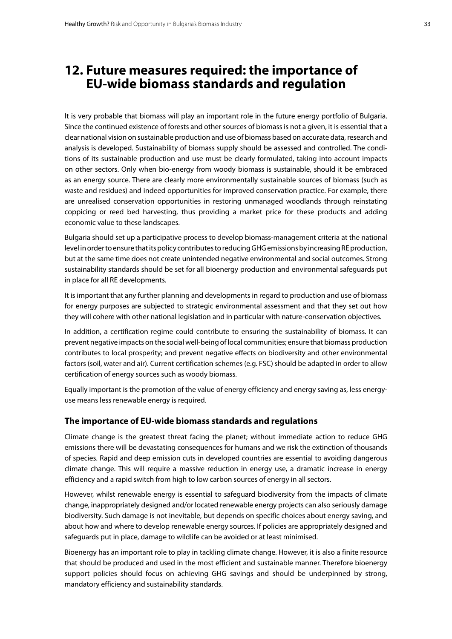### <span id="page-32-0"></span>**12. Future measures required: the importance of EU-wide biomass standards and regulation**

It is very probable that biomass will play an important role in the future energy portfolio of Bulgaria. Since the continued existence of forests and other sources of biomass is not a given, it is essential that a clear national vision on sustainable production and use of biomass based on accurate data, research and analysis is developed. Sustainability of biomass supply should be assessed and controlled. The conditions of its sustainable production and use must be clearly formulated, taking into account impacts on other sectors. Only when bio-energy from woody biomass is sustainable, should it be embraced as an energy source. There are clearly more environmentally sustainable sources of biomass (such as waste and residues) and indeed opportunities for improved conservation practice. For example, there are unrealised conservation opportunities in restoring unmanaged woodlands through reinstating coppicing or reed bed harvesting, thus providing a market price for these products and adding economic value to these landscapes.

Bulgaria should set up a participative process to develop biomass-management criteria at the national level in order to ensure that its policy contributes to reducing GHG emissions by increasing RE production, but at the same time does not create unintended negative environmental and social outcomes. Strong sustainability standards should be set for all bioenergy production and environmental safeguards put in place for all RE developments.

It is important that any further planning and developments in regard to production and use of biomass for energy purposes are subjected to strategic environmental assessment and that they set out how they will cohere with other national legislation and in particular with nature-conservation objectives.

In addition, a certification regime could contribute to ensuring the sustainability of biomass. It can prevent negative impacts on the social well-being of local communities; ensure that biomass production contributes to local prosperity; and prevent negative effects on biodiversity and other environmental factors (soil, water and air). Current certification schemes (e.g. FSC) should be adapted in order to allow certification of energy sources such as woody biomass.

Equally important is the promotion of the value of energy efficiency and energy saving as, less energyuse means less renewable energy is required.

#### **The importance of EU-wide biomass standards and regulations**

Climate change is the greatest threat facing the planet; without immediate action to reduce GHG emissions there will be devastating consequences for humans and we risk the extinction of thousands of species. Rapid and deep emission cuts in developed countries are essential to avoiding dangerous climate change. This will require a massive reduction in energy use, a dramatic increase in energy efficiency and a rapid switch from high to low carbon sources of energy in all sectors.

However, whilst renewable energy is essential to safeguard biodiversity from the impacts of climate change, inappropriately designed and/or located renewable energy projects can also seriously damage biodiversity. Such damage is not inevitable, but depends on specific choices about energy saving, and about how and where to develop renewable energy sources. If policies are appropriately designed and safeguards put in place, damage to wildlife can be avoided or at least minimised.

Bioenergy has an important role to play in tackling climate change. However, it is also a finite resource that should be produced and used in the most efficient and sustainable manner. Therefore bioenergy support policies should focus on achieving GHG savings and should be underpinned by strong, mandatory efficiency and sustainability standards.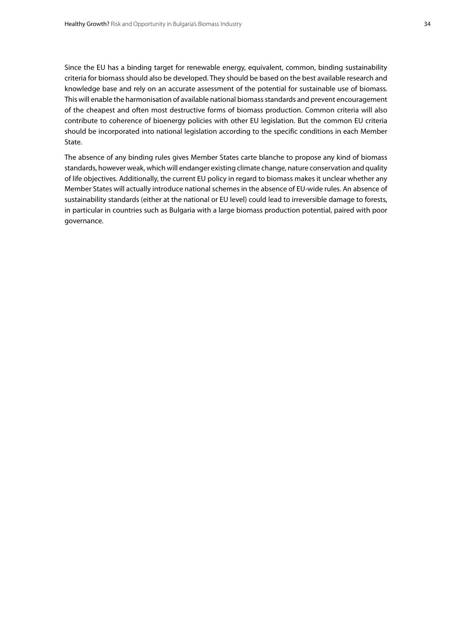Since the EU has a binding target for renewable energy, equivalent, common, binding sustainability criteria for biomass should also be developed. They should be based on the best available research and knowledge base and rely on an accurate assessment of the potential for sustainable use of biomass. This will enable the harmonisation of available national biomass standards and prevent encouragement of the cheapest and often most destructive forms of biomass production. Common criteria will also contribute to coherence of bioenergy policies with other EU legislation. But the common EU criteria should be incorporated into national legislation according to the specific conditions in each Member State.

The absence of any binding rules gives Member States carte blanche to propose any kind of biomass standards, however weak, which will endanger existing climate change, nature conservation and quality of life objectives. Additionally, the current EU policy in regard to biomass makes it unclear whether any Member States will actually introduce national schemes in the absence of EU-wide rules. An absence of sustainability standards (either at the national or EU level) could lead to irreversible damage to forests, in particular in countries such as Bulgaria with a large biomass production potential, paired with poor governance.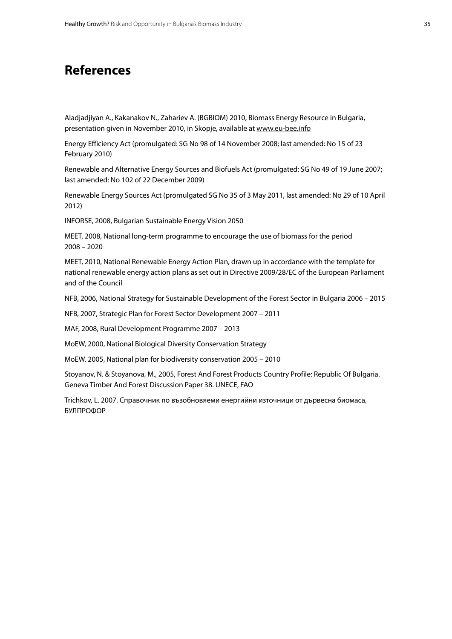### <span id="page-34-0"></span>**References**

Aladjadjiyan A., Kakanakov N., Zahariev A. (BGBIOM) 2010, Biomass Energy Resource in Bulgaria, presentation given in November 2010, in Skopje, available at <www.eu><-bee.info>

Energy Efficiency Act (promulgated: SG No 98 of 14 November 2008; last amended: No 15 of 23 February 2010)

Renewable and Alternative Energy Sources and Biofuels Act (promulgated: SG No 49 of 19 June 2007; last amended: No 102 of 22 December 2009)

Renewable Energy Sources Act (promulgated SG No 35 of 3 May 2011, last amended: No 29 of 10 April 2012)

INFORSE, 2008, Bulgarian Sustainable Energy Vision 2050

MEET, 2008, National long-term programme to encourage the use of biomass for the period 2008 – 2020

MEET, 2010, National Renewable Energy Action Plan, drawn up in accordance with the template for national renewable energy action plans as set out in Directive 2009/28/EC of the European Parliament and of the Council

NFB, 2006, National Strategy for Sustainable Development of the Forest Sector in Bulgaria 2006 – 2015

NFB, 2007, Strategic Plan for Forest Sector Development 2007 – 2011

MAF, 2008, Rural Development Programme 2007 – 2013

MoEW, 2000, National Biological Diversity Conservation Strategy

MoEW, 2005, National plan for biodiversity conservation 2005 – 2010

Stoyanov, N. & Stoyanova, M., 2005, Forest And Forest Products Country Profile: Republic Of Bulgaria. Geneva Timber And Forest Discussion Paper 38. UNECE, FAO

Trichkov, L. 2007, Справочник по възобновяеми енергийни източници от дървесна биомаса, БУЛПРОФОР